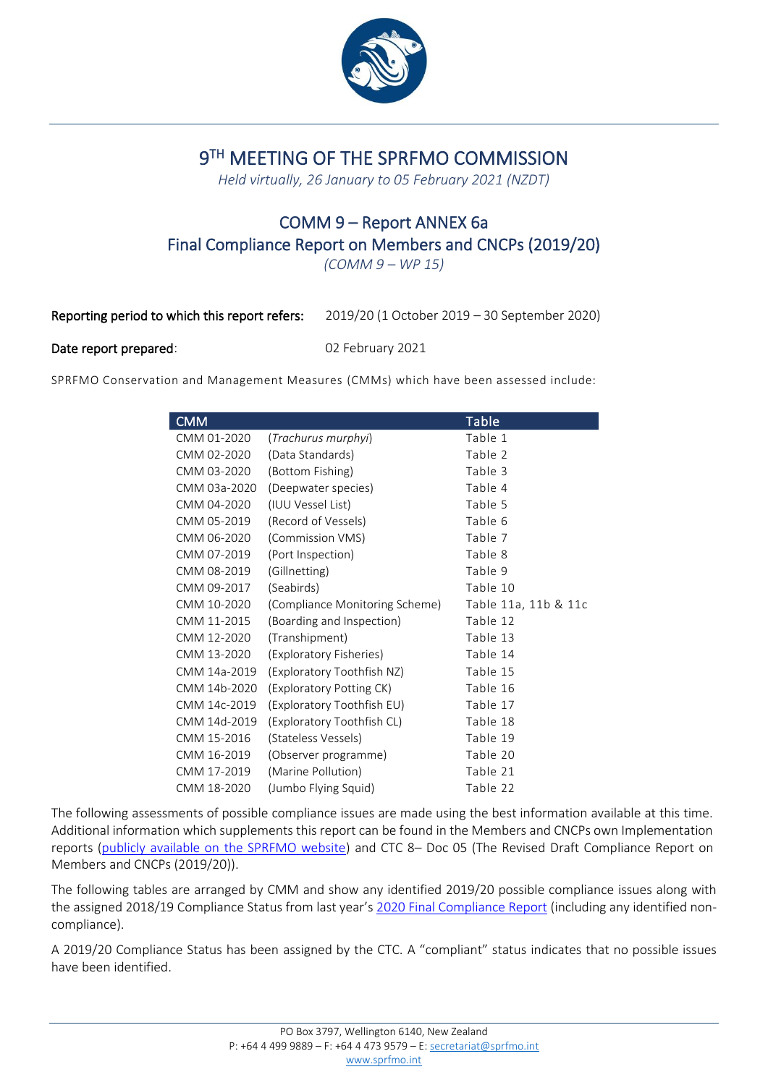

# 9 TH MEETING OF THE SPRFMO COMMISSION

*Held virtually, 26 January to 05 February 2021 (NZDT)*

# COMM 9 – Report ANNEX 6a Final Compliance Report on Members and CNCPs (2019/20)

*(COMM 9 – WP 15)*

### Reporting period to which this report refers: 2019/20 (1 October 2019 – 30 September 2020)

### Date report prepared: 02 February 2021

SPRFMO Conservation and Management Measures (CMMs) which have been assessed include:

| <b>CMM</b>   |                                | Table                |
|--------------|--------------------------------|----------------------|
| CMM 01-2020  | (Trachurus murphyi)            | Table 1              |
| CMM 02-2020  | (Data Standards)               | Table 2              |
| CMM 03-2020  | (Bottom Fishing)               | Table 3              |
| CMM 03a-2020 | (Deepwater species)            | Table 4              |
| CMM 04-2020  | (IUU Vessel List)              | Table 5              |
| CMM 05-2019  | (Record of Vessels)            | Table 6              |
| CMM 06-2020  | (Commission VMS)               | Table 7              |
| CMM 07-2019  | (Port Inspection)              | Table 8              |
| CMM 08-2019  | (Gillnetting)                  | Table 9              |
| CMM 09-2017  | (Seabirds)                     | Table 10             |
| CMM 10-2020  | (Compliance Monitoring Scheme) | Table 11a, 11b & 11c |
| CMM 11-2015  | (Boarding and Inspection)      | Table 12             |
| CMM 12-2020  | (Transhipment)                 | Table 13             |
| CMM 13-2020  | (Exploratory Fisheries)        | Table 14             |
| CMM 14a-2019 | (Exploratory Toothfish NZ)     | Table 15             |
| CMM 14b-2020 | (Exploratory Potting CK)       | Table 16             |
| CMM 14c-2019 | (Exploratory Toothfish EU)     | Table 17             |
| CMM 14d-2019 | (Exploratory Toothfish CL)     | Table 18             |
| CMM 15-2016  | (Stateless Vessels)            | Table 19             |
| CMM 16-2019  | (Observer programme)           | Table 20             |
| CMM 17-2019  | (Marine Pollution)             | Table 21             |
| CMM 18-2020  | (Jumbo Flying Squid)           | Table 22             |

The following assessments of possible compliance issues are made using the best information available at this time. Additional information which supplements this report can be found in the Members and CNCPs own Implementation reports [\(publicly available on the SPRFMO website\)](http://www.sprfmo.int/measures/compliance-reports/implementation-reports) and CTC 8– Doc 05 (The Revised Draft Compliance Report on Members and CNCPs (2019/20)).

The following tables are arranged by CMM and show any identified 2019/20 possible compliance issues along with the assigned 2018/19 Compliance Status from last year's 2020 [Final Compliance Report](https://www.sprfmo.int/assets/2020-Annual-Meeting/Reports/Annex-4-Final-Compliance-Report-2018-19.pdf) (including any identified noncompliance).

A 2019/20 Compliance Status has been assigned by the CTC. A "compliant" status indicates that no possible issues have been identified.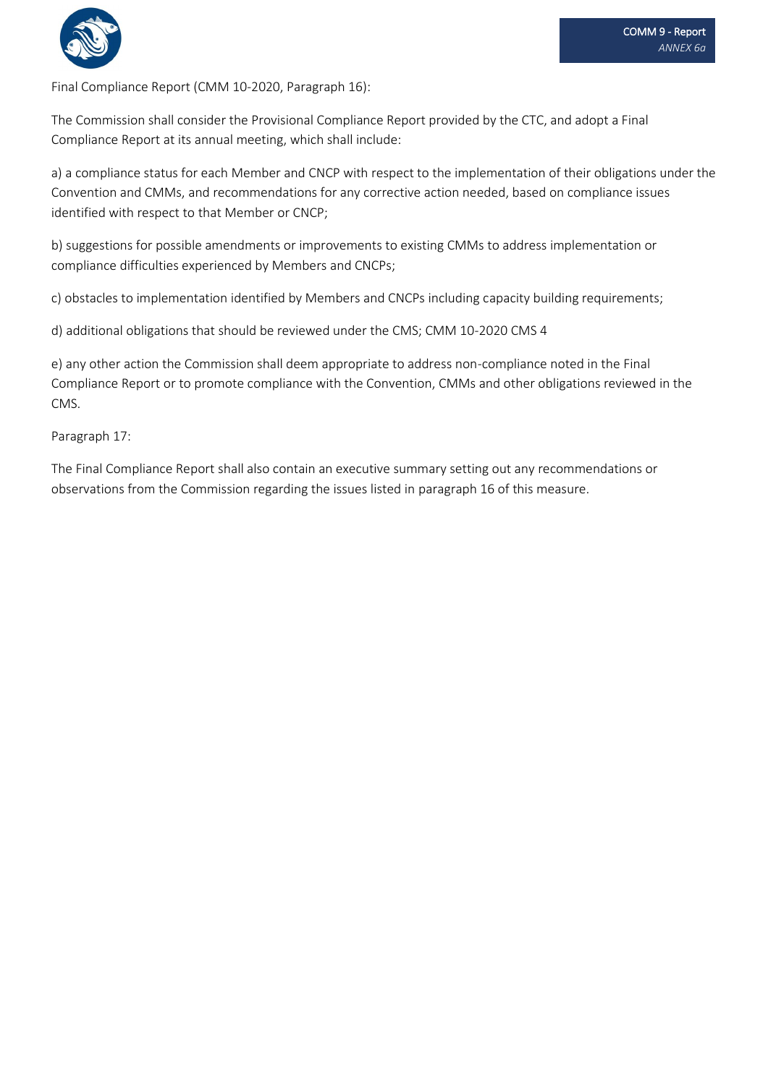

Final Compliance Report (CMM 10-2020, Paragraph 16):

The Commission shall consider the Provisional Compliance Report provided by the CTC, and adopt a Final Compliance Report at its annual meeting, which shall include:

a) a compliance status for each Member and CNCP with respect to the implementation of their obligations under the Convention and CMMs, and recommendations for any corrective action needed, based on compliance issues identified with respect to that Member or CNCP;

b) suggestions for possible amendments or improvements to existing CMMs to address implementation or compliance difficulties experienced by Members and CNCPs;

c) obstacles to implementation identified by Members and CNCPs including capacity building requirements;

d) additional obligations that should be reviewed under the CMS; CMM 10-2020 CMS 4

e) any other action the Commission shall deem appropriate to address non-compliance noted in the Final Compliance Report or to promote compliance with the Convention, CMMs and other obligations reviewed in the CMS.

Paragraph 17:

The Final Compliance Report shall also contain an executive summary setting out any recommendations or observations from the Commission regarding the issues listed in paragraph 16 of this measure.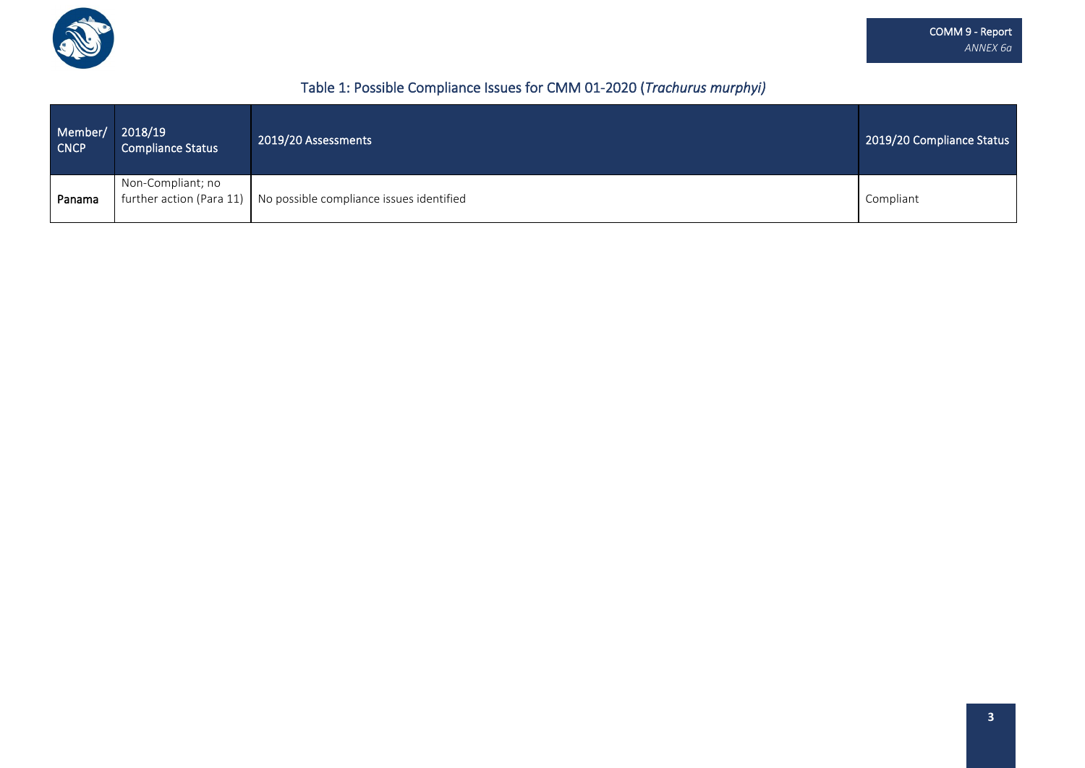

# Table 1: Possible Compliance Issues for CMM 01-2020 (*Trachurus murphyi)*

| Member/ 2018/19<br><b>CNCP</b> | <b>Compliance Status</b> | 2019/20 Assessments                                                             | 2019/20 Compliance Status |
|--------------------------------|--------------------------|---------------------------------------------------------------------------------|---------------------------|
| Panama                         | Non-Compliant; no        | $\mid$ further action (Para 11) $\mid$ No possible compliance issues identified | Compliant                 |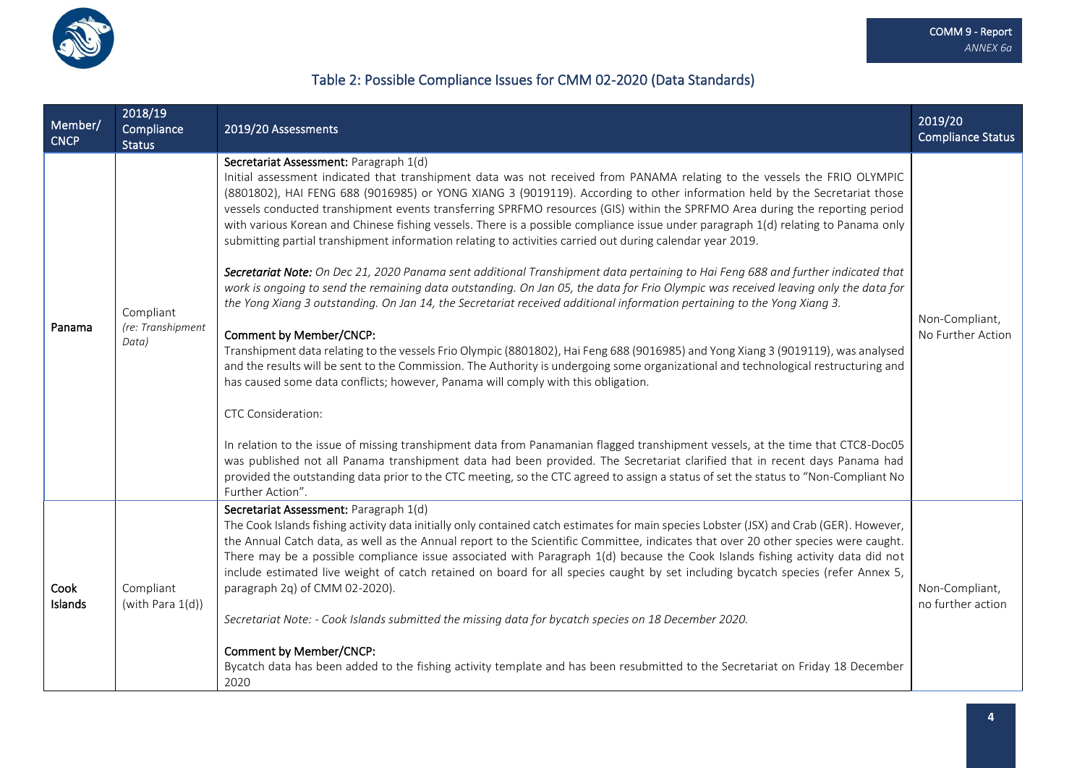

# Table 2: Possible Compliance Issues for CMM 02-2020 (Data Standards)

| Member/<br><b>CNCP</b> | 2018/19<br>Compliance<br><b>Status</b>  | 2019/20 Assessments                                                                                                                                                                                                                                                                                                                                                                                                                                                                                                                                                                                                                                                                                                                                                                                                                                                                                                                                                                                                                                                                                                                                                                                                                                                                                                                                                                                                                                                                                                                                                                                                                                                                                                                                                                                                                                                                                                                             | 2019/20<br><b>Compliance Status</b> |
|------------------------|-----------------------------------------|-------------------------------------------------------------------------------------------------------------------------------------------------------------------------------------------------------------------------------------------------------------------------------------------------------------------------------------------------------------------------------------------------------------------------------------------------------------------------------------------------------------------------------------------------------------------------------------------------------------------------------------------------------------------------------------------------------------------------------------------------------------------------------------------------------------------------------------------------------------------------------------------------------------------------------------------------------------------------------------------------------------------------------------------------------------------------------------------------------------------------------------------------------------------------------------------------------------------------------------------------------------------------------------------------------------------------------------------------------------------------------------------------------------------------------------------------------------------------------------------------------------------------------------------------------------------------------------------------------------------------------------------------------------------------------------------------------------------------------------------------------------------------------------------------------------------------------------------------------------------------------------------------------------------------------------------------|-------------------------------------|
| Panama                 | Compliant<br>(re: Transhipment<br>Data) | Secretariat Assessment: Paragraph 1(d)<br>Initial assessment indicated that transhipment data was not received from PANAMA relating to the vessels the FRIO OLYMPIC<br>(8801802), HAI FENG 688 (9016985) or YONG XIANG 3 (9019119). According to other information held by the Secretariat those<br>vessels conducted transhipment events transferring SPRFMO resources (GIS) within the SPRFMO Area during the reporting period<br>with various Korean and Chinese fishing vessels. There is a possible compliance issue under paragraph 1(d) relating to Panama only<br>submitting partial transhipment information relating to activities carried out during calendar year 2019.<br>Secretariat Note: On Dec 21, 2020 Panama sent additional Transhipment data pertaining to Hai Feng 688 and further indicated that<br>work is ongoing to send the remaining data outstanding. On Jan 05, the data for Frio Olympic was received leaving only the data for<br>the Yong Xiang 3 outstanding. On Jan 14, the Secretariat received additional information pertaining to the Yong Xiang 3.<br><b>Comment by Member/CNCP:</b><br>Transhipment data relating to the vessels Frio Olympic (8801802), Hai Feng 688 (9016985) and Yong Xiang 3 (9019119), was analysed<br>and the results will be sent to the Commission. The Authority is undergoing some organizational and technological restructuring and<br>has caused some data conflicts; however, Panama will comply with this obligation.<br>CTC Consideration:<br>In relation to the issue of missing transhipment data from Panamanian flagged transhipment vessels, at the time that CTC8-Doc05<br>was published not all Panama transhipment data had been provided. The Secretariat clarified that in recent days Panama had<br>provided the outstanding data prior to the CTC meeting, so the CTC agreed to assign a status of set the status to "Non-Compliant No<br>Further Action". | Non-Compliant,<br>No Further Action |
| Cook<br>Islands        | Compliant<br>(with Para 1(d))           | Secretariat Assessment: Paragraph 1(d)<br>The Cook Islands fishing activity data initially only contained catch estimates for main species Lobster (JSX) and Crab (GER). However,<br>the Annual Catch data, as well as the Annual report to the Scientific Committee, indicates that over 20 other species were caught.<br>There may be a possible compliance issue associated with Paragraph 1(d) because the Cook Islands fishing activity data did not<br>include estimated live weight of catch retained on board for all species caught by set including bycatch species (refer Annex 5,<br>paragraph 2q) of CMM 02-2020).<br>Secretariat Note: - Cook Islands submitted the missing data for bycatch species on 18 December 2020.<br>Comment by Member/CNCP:<br>Bycatch data has been added to the fishing activity template and has been resubmitted to the Secretariat on Friday 18 December<br>2020                                                                                                                                                                                                                                                                                                                                                                                                                                                                                                                                                                                                                                                                                                                                                                                                                                                                                                                                                                                                                                    | Non-Compliant,<br>no further action |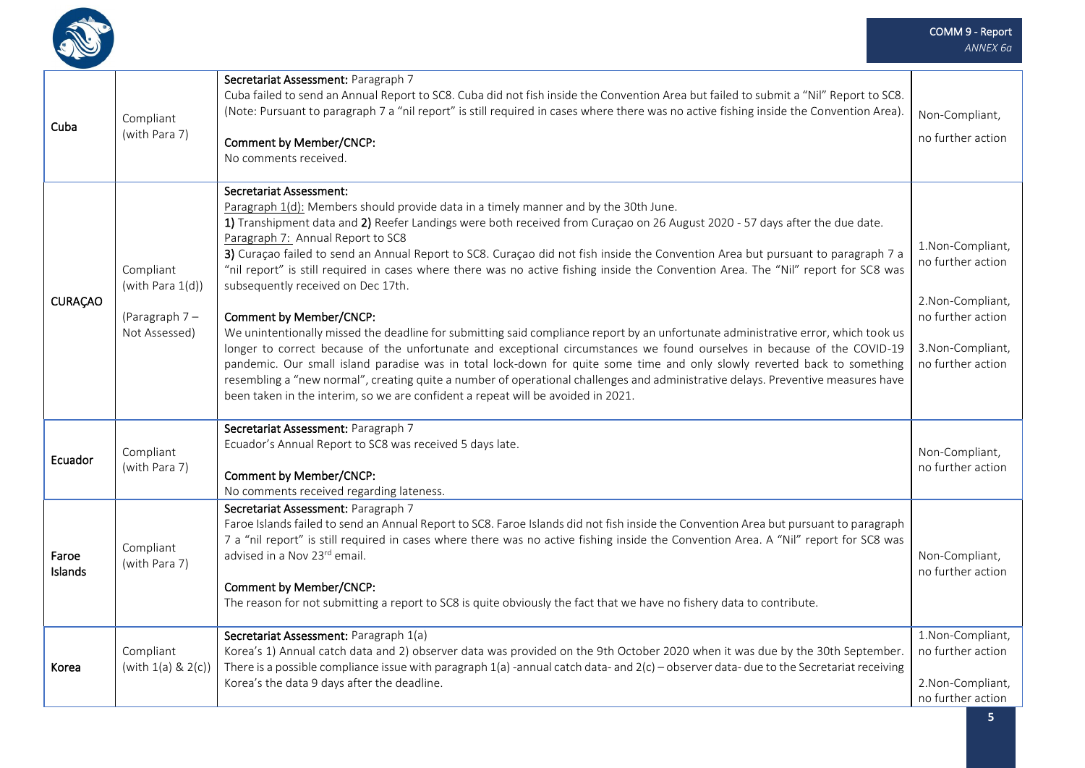

| Cuba             | Compliant<br>(with Para 7)                                      | Secretariat Assessment: Paragraph 7<br>Cuba failed to send an Annual Report to SC8. Cuba did not fish inside the Convention Area but failed to submit a "Nil" Report to SC8.<br>(Note: Pursuant to paragraph 7 a "nil report" is still required in cases where there was no active fishing inside the Convention Area).<br><b>Comment by Member/CNCP:</b><br>No comments received.                                                                                                                                                                                                                                                                                                                                                                                                                                                                                                                                                                                                                                                                                                                                                                                                                                                                    | Non-Compliant,<br>no further action                                                                                       |
|------------------|-----------------------------------------------------------------|-------------------------------------------------------------------------------------------------------------------------------------------------------------------------------------------------------------------------------------------------------------------------------------------------------------------------------------------------------------------------------------------------------------------------------------------------------------------------------------------------------------------------------------------------------------------------------------------------------------------------------------------------------------------------------------------------------------------------------------------------------------------------------------------------------------------------------------------------------------------------------------------------------------------------------------------------------------------------------------------------------------------------------------------------------------------------------------------------------------------------------------------------------------------------------------------------------------------------------------------------------|---------------------------------------------------------------------------------------------------------------------------|
| <b>CURAÇAO</b>   | Compliant<br>(with Para 1(d))<br>(Paragraph 7-<br>Not Assessed) | Secretariat Assessment:<br>Paragraph 1(d): Members should provide data in a timely manner and by the 30th June.<br>1) Transhipment data and 2) Reefer Landings were both received from Curaçao on 26 August 2020 - 57 days after the due date.<br>Paragraph 7: Annual Report to SC8<br>3) Curaçao failed to send an Annual Report to SC8. Curaçao did not fish inside the Convention Area but pursuant to paragraph 7 a<br>"nil report" is still required in cases where there was no active fishing inside the Convention Area. The "Nil" report for SC8 was<br>subsequently received on Dec 17th.<br>Comment by Member/CNCP:<br>We unintentionally missed the deadline for submitting said compliance report by an unfortunate administrative error, which took us<br>longer to correct because of the unfortunate and exceptional circumstances we found ourselves in because of the COVID-19<br>pandemic. Our small island paradise was in total lock-down for quite some time and only slowly reverted back to something<br>resembling a "new normal", creating quite a number of operational challenges and administrative delays. Preventive measures have<br>been taken in the interim, so we are confident a repeat will be avoided in 2021. | 1.Non-Compliant,<br>no further action<br>2. Non-Compliant,<br>no further action<br>3. Non-Compliant,<br>no further action |
| Ecuador          | Compliant<br>(with Para 7)                                      | Secretariat Assessment: Paragraph 7<br>Ecuador's Annual Report to SC8 was received 5 days late.<br>Comment by Member/CNCP:<br>No comments received regarding lateness.                                                                                                                                                                                                                                                                                                                                                                                                                                                                                                                                                                                                                                                                                                                                                                                                                                                                                                                                                                                                                                                                                | Non-Compliant,<br>no further action                                                                                       |
| Faroe<br>Islands | Compliant<br>(with Para 7)                                      | Secretariat Assessment: Paragraph 7<br>Faroe Islands failed to send an Annual Report to SC8. Faroe Islands did not fish inside the Convention Area but pursuant to paragraph<br>7 a "nil report" is still required in cases where there was no active fishing inside the Convention Area. A "Nil" report for SC8 was<br>advised in a Nov 23rd email.<br>Comment by Member/CNCP:<br>The reason for not submitting a report to SC8 is quite obviously the fact that we have no fishery data to contribute.                                                                                                                                                                                                                                                                                                                                                                                                                                                                                                                                                                                                                                                                                                                                              | Non-Compliant,<br>no further action                                                                                       |
| Korea            | Compliant<br>(with $1(a) 8 2(c)$ )                              | Secretariat Assessment: Paragraph 1(a)<br>Korea's 1) Annual catch data and 2) observer data was provided on the 9th October 2020 when it was due by the 30th September.<br>There is a possible compliance issue with paragraph $1(a)$ -annual catch data- and $2(c)$ - observer data- due to the Secretariat receiving<br>Korea's the data 9 days after the deadline.                                                                                                                                                                                                                                                                                                                                                                                                                                                                                                                                                                                                                                                                                                                                                                                                                                                                                 | 1.Non-Compliant,<br>no further action<br>2. Non-Compliant,<br>no further action                                           |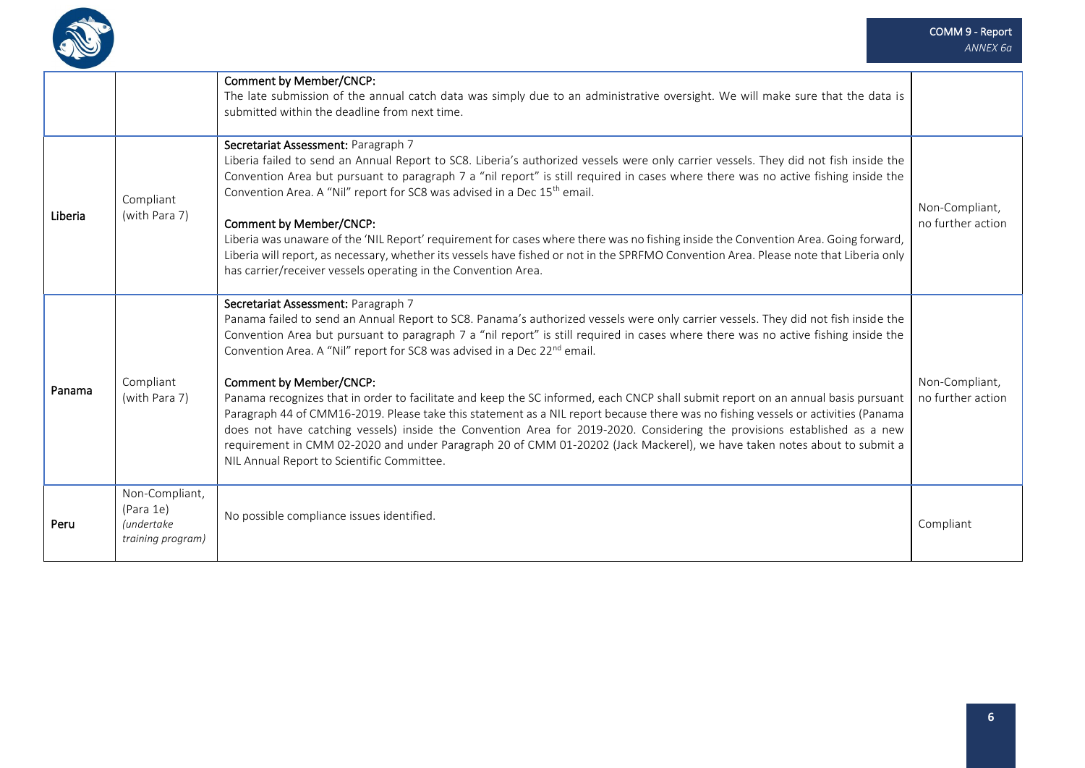

|         |                                                                       | <b>Comment by Member/CNCP:</b><br>The late submission of the annual catch data was simply due to an administrative oversight. We will make sure that the data is<br>submitted within the deadline from next time.                                                                                                                                                                                                                                                                                                                                                                                                                                                                                                                                                                                                                                                                                                                                                                                                   |                                     |
|---------|-----------------------------------------------------------------------|---------------------------------------------------------------------------------------------------------------------------------------------------------------------------------------------------------------------------------------------------------------------------------------------------------------------------------------------------------------------------------------------------------------------------------------------------------------------------------------------------------------------------------------------------------------------------------------------------------------------------------------------------------------------------------------------------------------------------------------------------------------------------------------------------------------------------------------------------------------------------------------------------------------------------------------------------------------------------------------------------------------------|-------------------------------------|
| Liberia | Compliant<br>(with Para 7)                                            | Secretariat Assessment: Paragraph 7<br>Liberia failed to send an Annual Report to SC8. Liberia's authorized vessels were only carrier vessels. They did not fish inside the<br>Convention Area but pursuant to paragraph 7 a "nil report" is still required in cases where there was no active fishing inside the<br>Convention Area. A "Nil" report for SC8 was advised in a Dec 15 <sup>th</sup> email.<br>Comment by Member/CNCP:<br>Liberia was unaware of the 'NIL Report' requirement for cases where there was no fishing inside the Convention Area. Going forward,<br>Liberia will report, as necessary, whether its vessels have fished or not in the SPRFMO Convention Area. Please note that Liberia only<br>has carrier/receiver vessels operating in the Convention Area.                                                                                                                                                                                                                             | Non-Compliant,<br>no further action |
| Panama  | Compliant<br>(with Para 7)                                            | Secretariat Assessment: Paragraph 7<br>Panama failed to send an Annual Report to SC8. Panama's authorized vessels were only carrier vessels. They did not fish inside the<br>Convention Area but pursuant to paragraph 7 a "nil report" is still required in cases where there was no active fishing inside the<br>Convention Area. A "Nil" report for SC8 was advised in a Dec 22 <sup>nd</sup> email.<br>Comment by Member/CNCP:<br>Panama recognizes that in order to facilitate and keep the SC informed, each CNCP shall submit report on an annual basis pursuant<br>Paragraph 44 of CMM16-2019. Please take this statement as a NIL report because there was no fishing vessels or activities (Panama<br>does not have catching vessels) inside the Convention Area for 2019-2020. Considering the provisions established as a new<br>requirement in CMM 02-2020 and under Paragraph 20 of CMM 01-20202 (Jack Mackerel), we have taken notes about to submit a<br>NIL Annual Report to Scientific Committee. | Non-Compliant,<br>no further action |
| Peru    | Non-Compliant,<br>(Para 1e)<br><i>(undertake</i><br>training program) | No possible compliance issues identified.                                                                                                                                                                                                                                                                                                                                                                                                                                                                                                                                                                                                                                                                                                                                                                                                                                                                                                                                                                           | Compliant                           |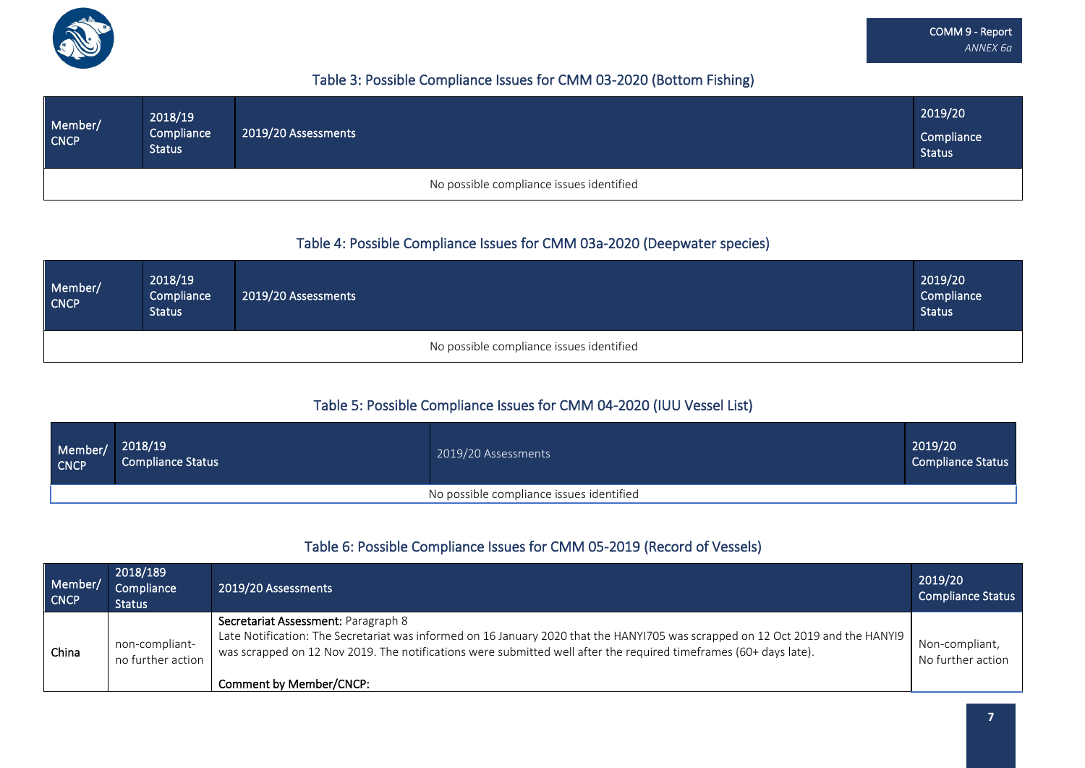

### Table 3: Possible Compliance Issues for CMM 03-2020 (Bottom Fishing)

| Member/<br><b>CNCP</b>                   | 2018/19<br>Compliance<br><b>Status</b> | 2019/20 Assessments | 2019/20<br>Compliance<br><b>Status</b> |  |
|------------------------------------------|----------------------------------------|---------------------|----------------------------------------|--|
| No possible compliance issues identified |                                        |                     |                                        |  |

### Table 4: Possible Compliance Issues for CMM 03a-2020 (Deepwater species)

| Member/<br><b>CNCP</b>                   | 2018/19<br>Compliance<br><b>Status</b> | 2019/20 Assessments | 2019/20<br>Compliance<br><b>Status</b> |  |
|------------------------------------------|----------------------------------------|---------------------|----------------------------------------|--|
| No possible compliance issues identified |                                        |                     |                                        |  |

### Table 5: Possible Compliance Issues for CMM 04-2020 (IUU Vessel List)

| Member/<br>CNCP                          | $\sqrt{2018/19}$<br>Compliance Status | 2019/20 Assessments | 2019/20<br>Compliance Status |  |
|------------------------------------------|---------------------------------------|---------------------|------------------------------|--|
| No possible compliance issues identified |                                       |                     |                              |  |

### Table 6: Possible Compliance Issues for CMM 05-2019 (Record of Vessels)

| Member/<br><b>CNCP</b> | 2018/189<br>Compliance<br><b>Status</b> | 2019/20 Assessments                                                                                                                                                                                                                                                                                                    | 2019/20<br><b>Compliance Status</b> |
|------------------------|-----------------------------------------|------------------------------------------------------------------------------------------------------------------------------------------------------------------------------------------------------------------------------------------------------------------------------------------------------------------------|-------------------------------------|
| China                  | non-compliant-<br>no further action     | Secretariat Assessment: Paragraph 8<br>Late Notification: The Secretariat was informed on 16 January 2020 that the HANYI705 was scrapped on 12 Oct 2019 and the HANYI9<br>was scrapped on 12 Nov 2019. The notifications were submitted well after the required timeframes (60+ days late).<br>Comment by Member/CNCP: | Non-compliant,<br>No further action |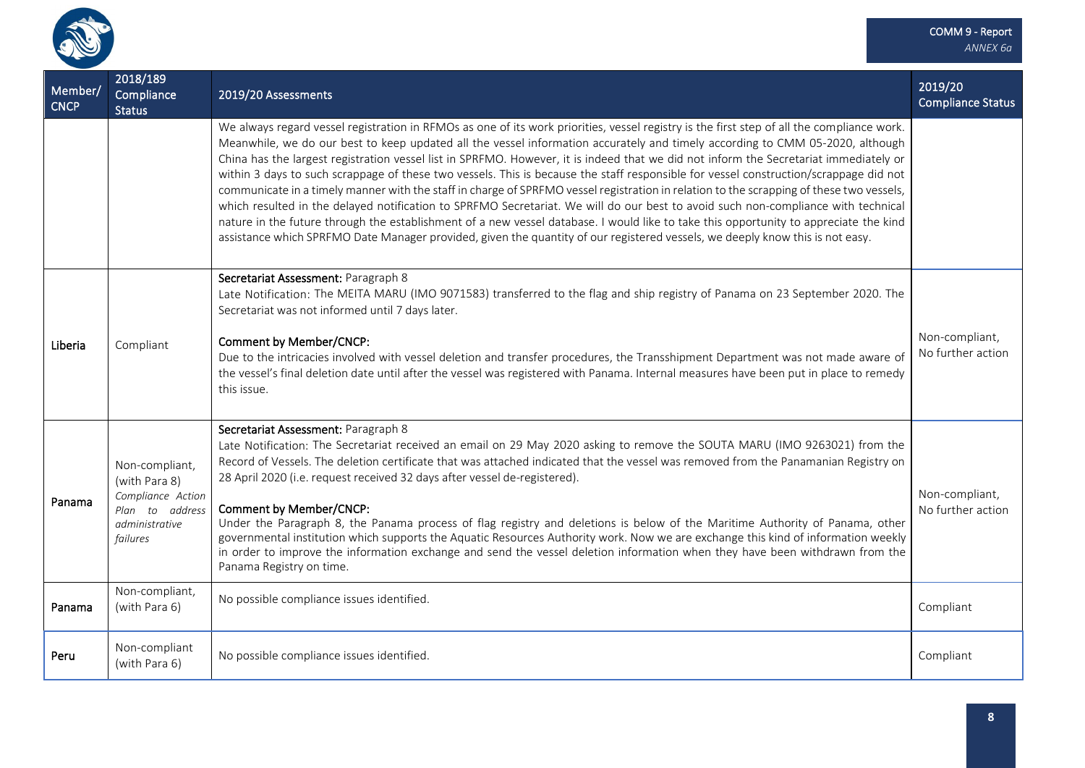

| Member/<br><b>CNCP</b> | 2018/189<br>Compliance<br><b>Status</b>                                                               | 2019/20 Assessments                                                                                                                                                                                                                                                                                                                                                                                                                                                                                                                                                                                                                                                                                                                                                                                                                                                                                                                                                                                                                                                                                                      | 2019/20<br><b>Compliance Status</b> |
|------------------------|-------------------------------------------------------------------------------------------------------|--------------------------------------------------------------------------------------------------------------------------------------------------------------------------------------------------------------------------------------------------------------------------------------------------------------------------------------------------------------------------------------------------------------------------------------------------------------------------------------------------------------------------------------------------------------------------------------------------------------------------------------------------------------------------------------------------------------------------------------------------------------------------------------------------------------------------------------------------------------------------------------------------------------------------------------------------------------------------------------------------------------------------------------------------------------------------------------------------------------------------|-------------------------------------|
|                        |                                                                                                       | We always regard vessel registration in RFMOs as one of its work priorities, vessel registry is the first step of all the compliance work.<br>Meanwhile, we do our best to keep updated all the vessel information accurately and timely according to CMM 05-2020, although<br>China has the largest registration vessel list in SPRFMO. However, it is indeed that we did not inform the Secretariat immediately or<br>within 3 days to such scrappage of these two vessels. This is because the staff responsible for vessel construction/scrappage did not<br>communicate in a timely manner with the staff in charge of SPRFMO vessel registration in relation to the scrapping of these two vessels,<br>which resulted in the delayed notification to SPRFMO Secretariat. We will do our best to avoid such non-compliance with technical<br>nature in the future through the establishment of a new vessel database. I would like to take this opportunity to appreciate the kind<br>assistance which SPRFMO Date Manager provided, given the quantity of our registered vessels, we deeply know this is not easy. |                                     |
| Liberia                | Compliant                                                                                             | Secretariat Assessment: Paragraph 8<br>Late Notification: The MEITA MARU (IMO 9071583) transferred to the flag and ship registry of Panama on 23 September 2020. The<br>Secretariat was not informed until 7 days later.<br>Comment by Member/CNCP:<br>Due to the intricacies involved with vessel deletion and transfer procedures, the Transshipment Department was not made aware of<br>the vessel's final deletion date until after the vessel was registered with Panama. Internal measures have been put in place to remedy<br>this issue.                                                                                                                                                                                                                                                                                                                                                                                                                                                                                                                                                                         | Non-compliant,<br>No further action |
| Panama                 | Non-compliant,<br>(with Para 8)<br>Compliance Action<br>Plan to address<br>administrative<br>failures | Secretariat Assessment: Paragraph 8<br>Late Notification: The Secretariat received an email on 29 May 2020 asking to remove the SOUTA MARU (IMO 9263021) from the<br>Record of Vessels. The deletion certificate that was attached indicated that the vessel was removed from the Panamanian Registry on<br>28 April 2020 (i.e. request received 32 days after vessel de-registered).<br><b>Comment by Member/CNCP:</b><br>Under the Paragraph 8, the Panama process of flag registry and deletions is below of the Maritime Authority of Panama, other<br>governmental institution which supports the Aquatic Resources Authority work. Now we are exchange this kind of information weekly<br>in order to improve the information exchange and send the vessel deletion information when they have been withdrawn from the<br>Panama Registry on time.                                                                                                                                                                                                                                                                 | Non-compliant,<br>No further action |
| Panama                 | Non-compliant,<br>(with Para 6)                                                                       | No possible compliance issues identified.                                                                                                                                                                                                                                                                                                                                                                                                                                                                                                                                                                                                                                                                                                                                                                                                                                                                                                                                                                                                                                                                                | Compliant                           |
| Peru                   | Non-compliant<br>(with Para 6)                                                                        | No possible compliance issues identified.                                                                                                                                                                                                                                                                                                                                                                                                                                                                                                                                                                                                                                                                                                                                                                                                                                                                                                                                                                                                                                                                                | Compliant                           |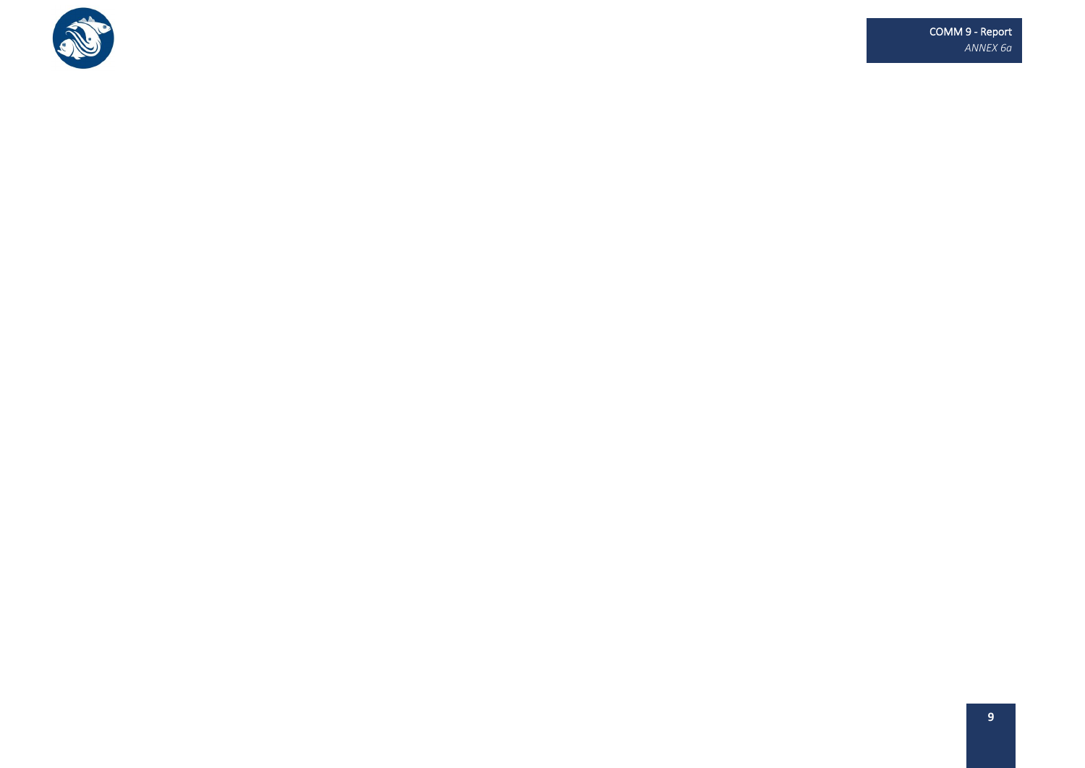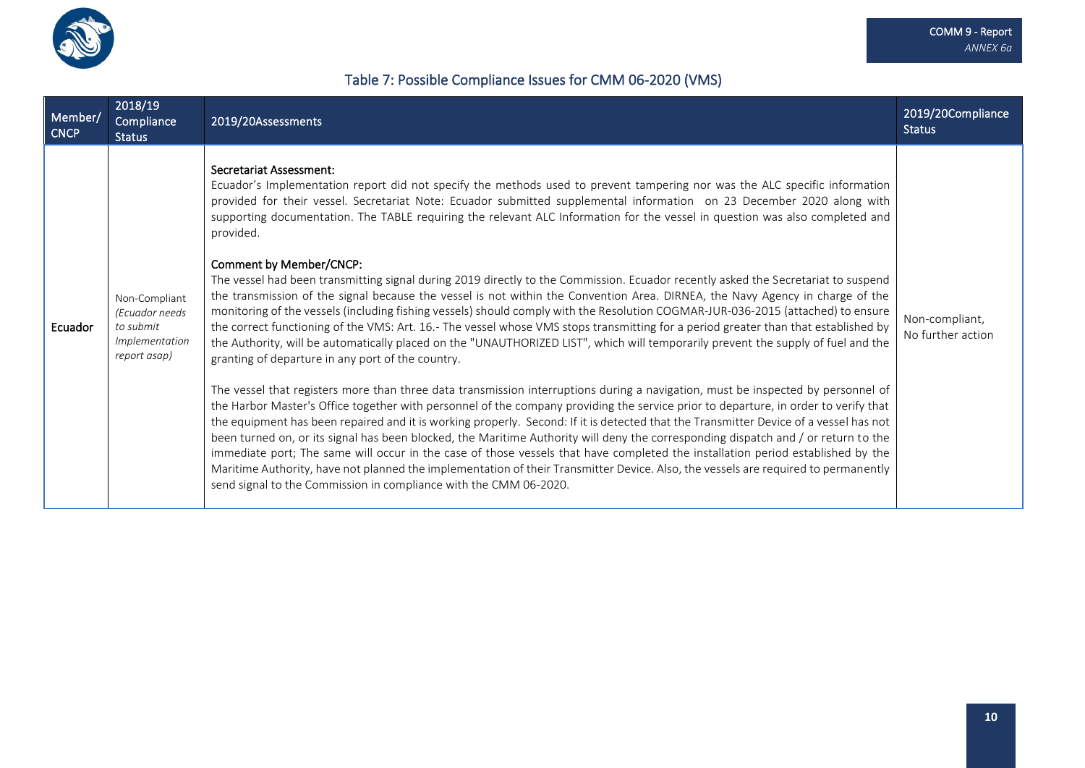

# Table 7: Possible Compliance Issues for CMM 06-2020 (VMS)

| Member/<br><b>CNCP</b> | 2018/19<br>Compliance<br><b>Status</b>                                         | 2019/20Assessments                                                                                                                                                                                                                                                                                                                                                                                                                                                                                                                                                                                                                                                                                                                                                                                                                                                                                                                                                                                                                                                                                                                                                                                                                                                                                                                                                                                                                                                                                                                                                                                                                                                                                                                                                                                                                                                                                                                                                                                                                                                                                                | 2019/20Compliance<br><b>Status</b>  |
|------------------------|--------------------------------------------------------------------------------|-------------------------------------------------------------------------------------------------------------------------------------------------------------------------------------------------------------------------------------------------------------------------------------------------------------------------------------------------------------------------------------------------------------------------------------------------------------------------------------------------------------------------------------------------------------------------------------------------------------------------------------------------------------------------------------------------------------------------------------------------------------------------------------------------------------------------------------------------------------------------------------------------------------------------------------------------------------------------------------------------------------------------------------------------------------------------------------------------------------------------------------------------------------------------------------------------------------------------------------------------------------------------------------------------------------------------------------------------------------------------------------------------------------------------------------------------------------------------------------------------------------------------------------------------------------------------------------------------------------------------------------------------------------------------------------------------------------------------------------------------------------------------------------------------------------------------------------------------------------------------------------------------------------------------------------------------------------------------------------------------------------------------------------------------------------------------------------------------------------------|-------------------------------------|
| Ecuador                | Non-Compliant<br>(Ecuador needs<br>to submit<br>Implementation<br>report asap) | Secretariat Assessment:<br>Ecuador's Implementation report did not specify the methods used to prevent tampering nor was the ALC specific information<br>provided for their vessel. Secretariat Note: Ecuador submitted supplemental information on 23 December 2020 along with<br>supporting documentation. The TABLE requiring the relevant ALC Information for the vessel in question was also completed and<br>provided.<br><b>Comment by Member/CNCP:</b><br>The vessel had been transmitting signal during 2019 directly to the Commission. Ecuador recently asked the Secretariat to suspend<br>the transmission of the signal because the vessel is not within the Convention Area. DIRNEA, the Navy Agency in charge of the<br>monitoring of the vessels (including fishing vessels) should comply with the Resolution COGMAR-JUR-036-2015 (attached) to ensure<br>the correct functioning of the VMS: Art. 16.- The vessel whose VMS stops transmitting for a period greater than that established by<br>the Authority, will be automatically placed on the "UNAUTHORIZED LIST", which will temporarily prevent the supply of fuel and the<br>granting of departure in any port of the country.<br>The vessel that registers more than three data transmission interruptions during a navigation, must be inspected by personnel of<br>the Harbor Master's Office together with personnel of the company providing the service prior to departure, in order to verify that<br>the equipment has been repaired and it is working properly. Second: If it is detected that the Transmitter Device of a vessel has not<br>been turned on, or its signal has been blocked, the Maritime Authority will deny the corresponding dispatch and / or return to the<br>immediate port; The same will occur in the case of those vessels that have completed the installation period established by the<br>Maritime Authority, have not planned the implementation of their Transmitter Device. Also, the vessels are required to permanently<br>send signal to the Commission in compliance with the CMM 06-2020. | Non-compliant,<br>No further action |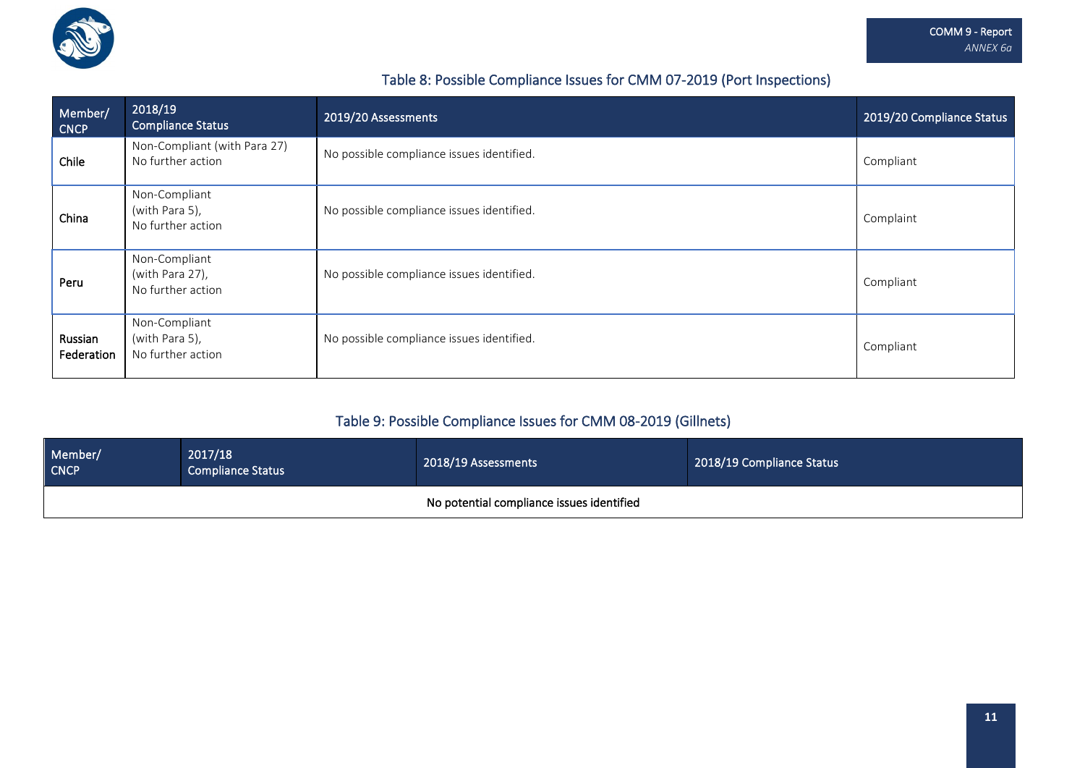

# Table 8: Possible Compliance Issues for CMM 07-2019 (Port Inspections)

| Member/<br><b>CNCP</b> | 2018/19<br><b>Compliance Status</b>                   | 2019/20 Assessments                       | 2019/20 Compliance Status |
|------------------------|-------------------------------------------------------|-------------------------------------------|---------------------------|
| Chile                  | Non-Compliant (with Para 27)<br>No further action     | No possible compliance issues identified. | Compliant                 |
| China                  | Non-Compliant<br>(with Para 5),<br>No further action  | No possible compliance issues identified. | Complaint                 |
| Peru                   | Non-Compliant<br>(with Para 27),<br>No further action | No possible compliance issues identified. | Compliant                 |
| Russian<br>Federation  | Non-Compliant<br>(with Para 5),<br>No further action  | No possible compliance issues identified. | Compliant                 |

# Table 9: Possible Compliance Issues for CMM 08-2019 (Gillnets)

| Member/<br><b>CNCP</b> | 2017/18<br><b>Compliance Status</b> | 2018/19 Assessments                       | 2018/19 Compliance Status |
|------------------------|-------------------------------------|-------------------------------------------|---------------------------|
|                        |                                     | No potential compliance issues identified |                           |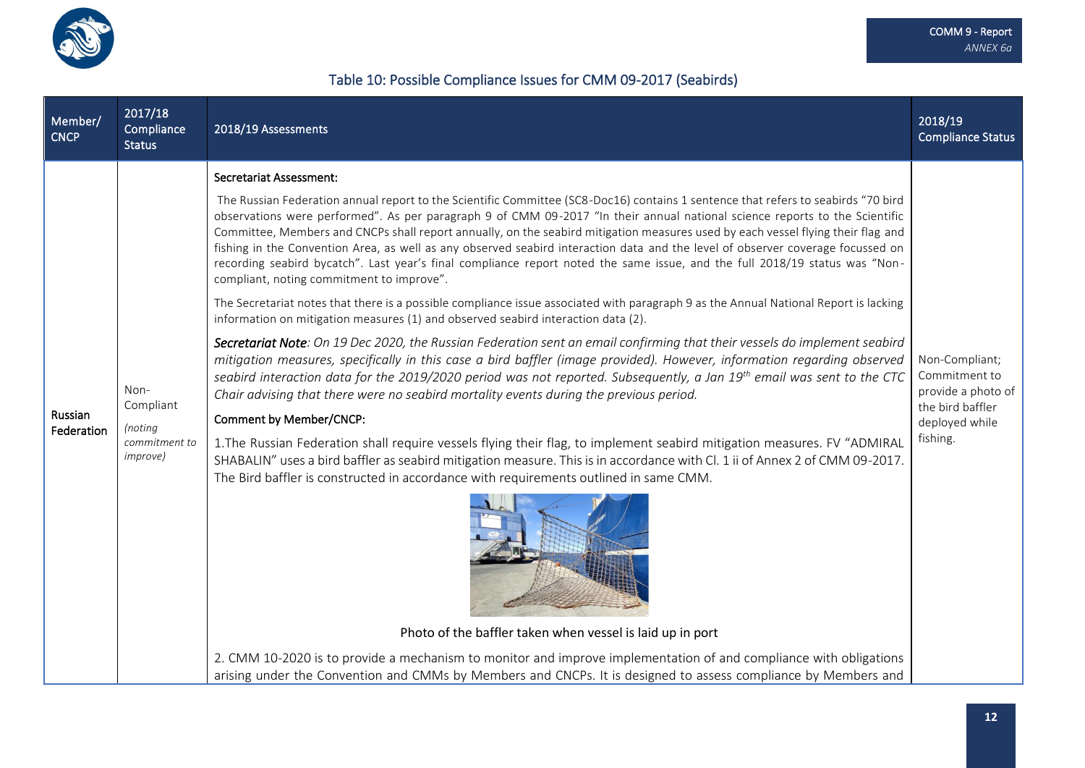

# Table 10: Possible Compliance Issues for CMM 09-2017 (Seabirds)

| Member/<br><b>CNCP</b> | 2017/18<br>Compliance<br><b>Status</b>                            | 2018/19 Assessments                                                                                                                                                                                                                                                                                                                                                                                                                                                                                                                                                                                                                                                                                                                                                                                                                                                                                                                                                                                                                                                                                                                                                                                                                                                                                                                                                                                                                                                                                                                                                                                                                                                                                                                                                                                                                                                                                                                                                                                                                                                                                                                                    | 2018/19<br><b>Compliance Status</b>                                                                     |
|------------------------|-------------------------------------------------------------------|--------------------------------------------------------------------------------------------------------------------------------------------------------------------------------------------------------------------------------------------------------------------------------------------------------------------------------------------------------------------------------------------------------------------------------------------------------------------------------------------------------------------------------------------------------------------------------------------------------------------------------------------------------------------------------------------------------------------------------------------------------------------------------------------------------------------------------------------------------------------------------------------------------------------------------------------------------------------------------------------------------------------------------------------------------------------------------------------------------------------------------------------------------------------------------------------------------------------------------------------------------------------------------------------------------------------------------------------------------------------------------------------------------------------------------------------------------------------------------------------------------------------------------------------------------------------------------------------------------------------------------------------------------------------------------------------------------------------------------------------------------------------------------------------------------------------------------------------------------------------------------------------------------------------------------------------------------------------------------------------------------------------------------------------------------------------------------------------------------------------------------------------------------|---------------------------------------------------------------------------------------------------------|
| Russian<br>Federation  | Non-<br>Compliant<br>(noting<br>commitment to<br><i>improve</i> ) | Secretariat Assessment:<br>The Russian Federation annual report to the Scientific Committee (SC8-Doc16) contains 1 sentence that refers to seabirds "70 bird<br>observations were performed". As per paragraph 9 of CMM 09-2017 "In their annual national science reports to the Scientific<br>Committee, Members and CNCPs shall report annually, on the seabird mitigation measures used by each vessel flying their flag and<br>fishing in the Convention Area, as well as any observed seabird interaction data and the level of observer coverage focussed on<br>recording seabird bycatch". Last year's final compliance report noted the same issue, and the full 2018/19 status was "Non-<br>compliant, noting commitment to improve".<br>The Secretariat notes that there is a possible compliance issue associated with paragraph 9 as the Annual National Report is lacking<br>information on mitigation measures (1) and observed seabird interaction data (2).<br>Secretariat Note: On 19 Dec 2020, the Russian Federation sent an email confirming that their vessels do implement seabird<br>mitigation measures, specifically in this case a bird baffler (image provided). However, information regarding observed<br>seabird interaction data for the 2019/2020 period was not reported. Subsequently, a Jan 19 <sup>th</sup> email was sent to the CTC<br>Chair advising that there were no seabird mortality events during the previous period.<br>Comment by Member/CNCP:<br>1. The Russian Federation shall require vessels flying their flag, to implement seabird mitigation measures. FV "ADMIRAL<br>SHABALIN" uses a bird baffler as seabird mitigation measure. This is in accordance with Cl. 1 ii of Annex 2 of CMM 09-2017.<br>The Bird baffler is constructed in accordance with requirements outlined in same CMM.<br>Photo of the baffler taken when vessel is laid up in port<br>2. CMM 10-2020 is to provide a mechanism to monitor and improve implementation of and compliance with obligations<br>arising under the Convention and CMMs by Members and CNCPs. It is designed to assess compliance by Members and | Non-Compliant;<br>Commitment to<br>provide a photo of<br>the bird baffler<br>deployed while<br>fishing. |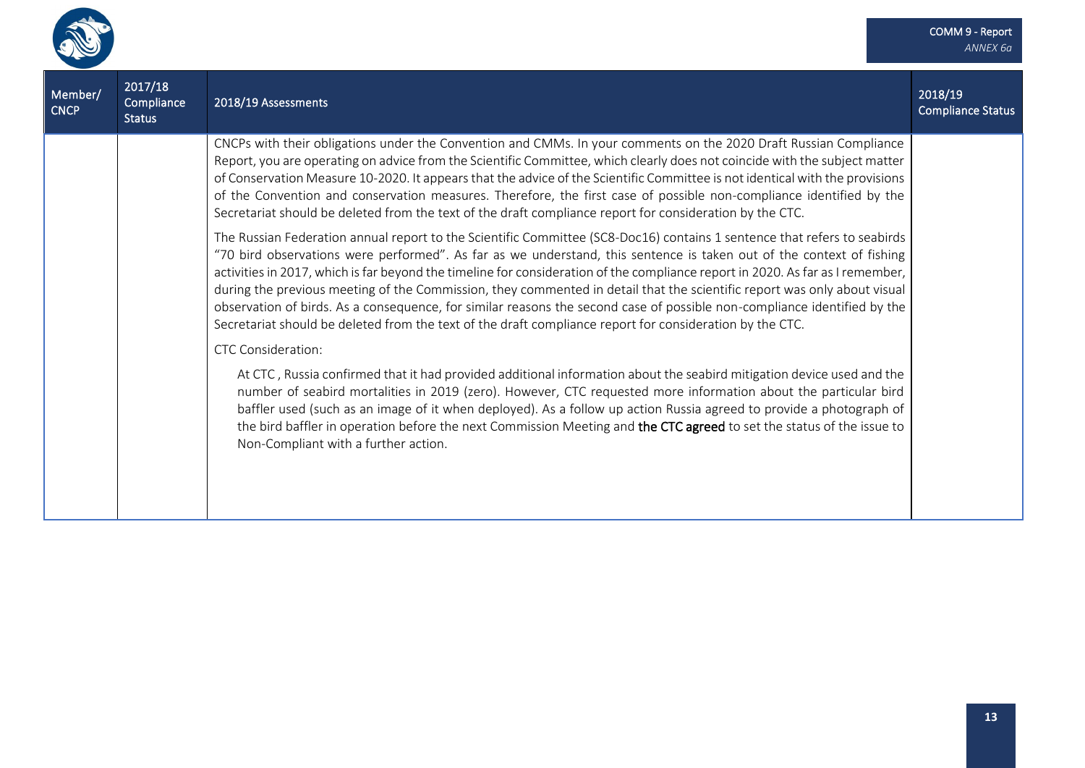

| Member/<br><b>CNCP</b> | 2017/18<br>Compliance<br><b>Status</b> | 2018/19 Assessments                                                                                                                                                                                                                                                                                                                                                                                                                                                                                                                                                                                                                                                                                                                                    | 2018/19<br><b>Compliance Status</b> |
|------------------------|----------------------------------------|--------------------------------------------------------------------------------------------------------------------------------------------------------------------------------------------------------------------------------------------------------------------------------------------------------------------------------------------------------------------------------------------------------------------------------------------------------------------------------------------------------------------------------------------------------------------------------------------------------------------------------------------------------------------------------------------------------------------------------------------------------|-------------------------------------|
|                        |                                        | CNCPs with their obligations under the Convention and CMMs. In your comments on the 2020 Draft Russian Compliance<br>Report, you are operating on advice from the Scientific Committee, which clearly does not coincide with the subject matter<br>of Conservation Measure 10-2020. It appears that the advice of the Scientific Committee is not identical with the provisions<br>of the Convention and conservation measures. Therefore, the first case of possible non-compliance identified by the<br>Secretariat should be deleted from the text of the draft compliance report for consideration by the CTC.                                                                                                                                     |                                     |
|                        |                                        | The Russian Federation annual report to the Scientific Committee (SC8-Doc16) contains 1 sentence that refers to seabirds<br>"70 bird observations were performed". As far as we understand, this sentence is taken out of the context of fishing<br>activities in 2017, which is far beyond the timeline for consideration of the compliance report in 2020. As far as I remember,<br>during the previous meeting of the Commission, they commented in detail that the scientific report was only about visual<br>observation of birds. As a consequence, for similar reasons the second case of possible non-compliance identified by the<br>Secretariat should be deleted from the text of the draft compliance report for consideration by the CTC. |                                     |
|                        |                                        | <b>CTC Consideration:</b><br>At CTC, Russia confirmed that it had provided additional information about the seabird mitigation device used and the<br>number of seabird mortalities in 2019 (zero). However, CTC requested more information about the particular bird<br>baffler used (such as an image of it when deployed). As a follow up action Russia agreed to provide a photograph of<br>the bird baffler in operation before the next Commission Meeting and the CTC agreed to set the status of the issue to<br>Non-Compliant with a further action.                                                                                                                                                                                          |                                     |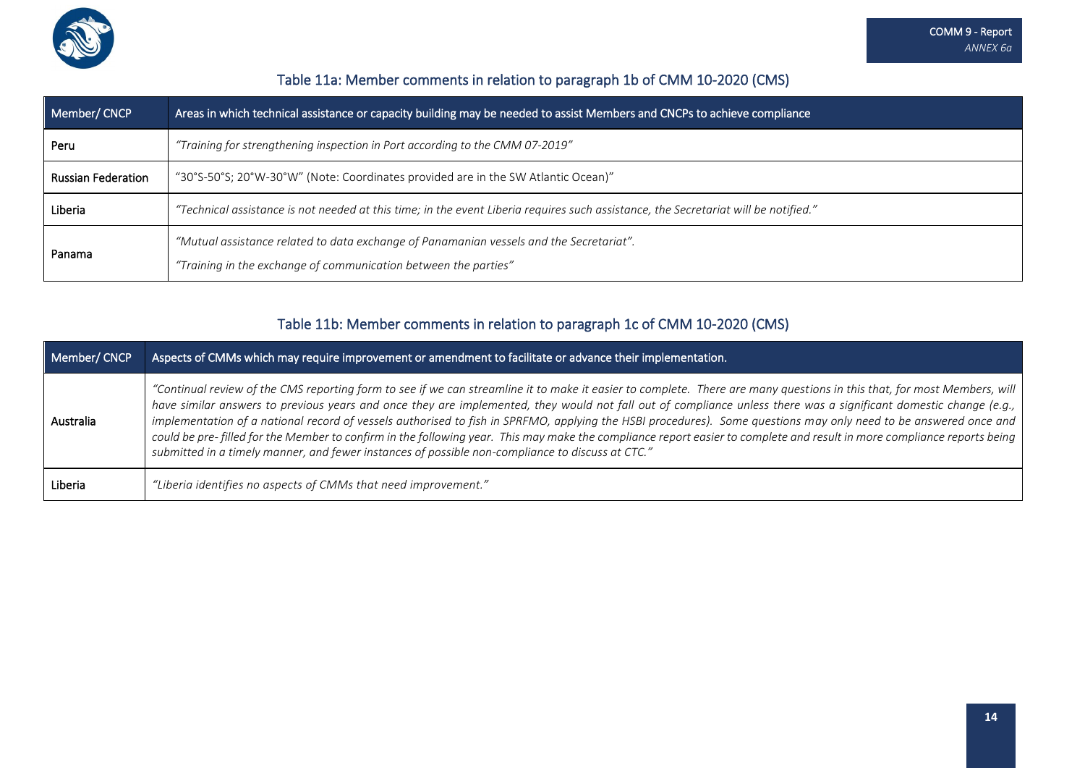

# Table 11a: Member comments in relation to paragraph 1b of CMM 10-2020 (CMS)

| Member/CNCP               | Areas in which technical assistance or capacity building may be needed to assist Members and CNCPs to achieve compliance                                   |  |
|---------------------------|------------------------------------------------------------------------------------------------------------------------------------------------------------|--|
| Peru                      | "Training for strengthening inspection in Port according to the CMM 07-2019"                                                                               |  |
| <b>Russian Federation</b> | "30°S-50°S; 20°W-30°W" (Note: Coordinates provided are in the SW Atlantic Ocean)"                                                                          |  |
| Liberia                   | "Technical assistance is not needed at this time; in the event Liberia requires such assistance, the Secretariat will be notified."                        |  |
| Panama                    | "Mutual assistance related to data exchange of Panamanian vessels and the Secretariat".<br>"Training in the exchange of communication between the parties" |  |

### Table 11b: Member comments in relation to paragraph 1c of CMM 10-2020 (CMS)

| Member/CNCP | Aspects of CMMs which may require improvement or amendment to facilitate or advance their implementation.                                                                                                                                                                                                                                                                                                                                                                                                                                                                                                                                                                                                                                                                                       |
|-------------|-------------------------------------------------------------------------------------------------------------------------------------------------------------------------------------------------------------------------------------------------------------------------------------------------------------------------------------------------------------------------------------------------------------------------------------------------------------------------------------------------------------------------------------------------------------------------------------------------------------------------------------------------------------------------------------------------------------------------------------------------------------------------------------------------|
| Australia   | "Continual review of the CMS reporting form to see if we can streamline it to make it easier to complete. There are many questions in this that, for most Members, will<br>have similar answers to previous years and once they are implemented, they would not fall out of compliance unless there was a significant domestic change (e.g.,<br>implementation of a national record of vessels authorised to fish in SPRFMO, applying the HSBI procedures). Some questions may only need to be answered once and<br>could be pre-filled for the Member to confirm in the following year. This may make the compliance report easier to complete and result in more compliance reports being<br>submitted in a timely manner, and fewer instances of possible non-compliance to discuss at CTC." |
| Liberia     | "Liberia identifies no aspects of CMMs that need improvement."                                                                                                                                                                                                                                                                                                                                                                                                                                                                                                                                                                                                                                                                                                                                  |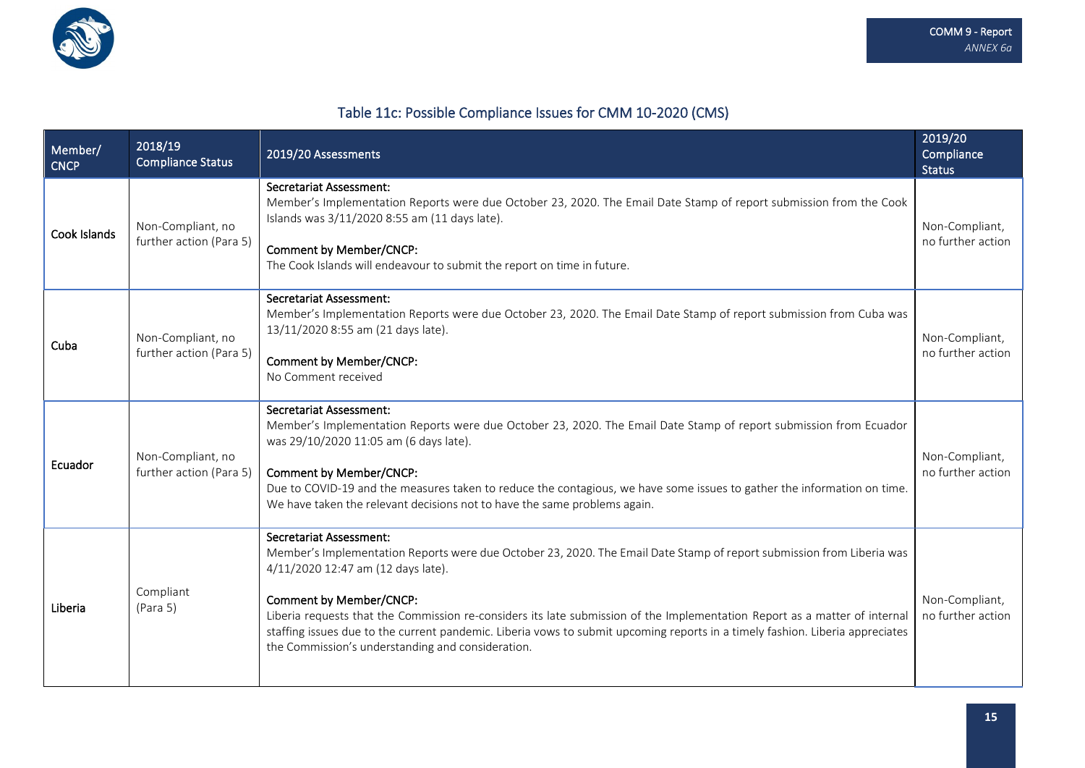

# Table 11c: Possible Compliance Issues for CMM 10-2020 (CMS)

| Member/<br>CNCP | 2018/19<br><b>Compliance Status</b>          | 2019/20 Assessments                                                                                                                                                                                                                                                                                                                                                                                                                                                                                                                          | 2019/20<br>Compliance<br><b>Status</b> |
|-----------------|----------------------------------------------|----------------------------------------------------------------------------------------------------------------------------------------------------------------------------------------------------------------------------------------------------------------------------------------------------------------------------------------------------------------------------------------------------------------------------------------------------------------------------------------------------------------------------------------------|----------------------------------------|
| Cook Islands    | Non-Compliant, no<br>further action (Para 5) | <b>Secretariat Assessment:</b><br>Member's Implementation Reports were due October 23, 2020. The Email Date Stamp of report submission from the Cook<br>Islands was 3/11/2020 8:55 am (11 days late).<br>Comment by Member/CNCP:<br>The Cook Islands will endeavour to submit the report on time in future.                                                                                                                                                                                                                                  | Non-Compliant,<br>no further action    |
| Cuba            | Non-Compliant, no<br>further action (Para 5) | Secretariat Assessment:<br>Member's Implementation Reports were due October 23, 2020. The Email Date Stamp of report submission from Cuba was<br>13/11/2020 8:55 am (21 days late).<br>Comment by Member/CNCP:<br>No Comment received                                                                                                                                                                                                                                                                                                        | Non-Compliant,<br>no further action    |
| Ecuador         | Non-Compliant, no<br>further action (Para 5) | <b>Secretariat Assessment:</b><br>Member's Implementation Reports were due October 23, 2020. The Email Date Stamp of report submission from Ecuador<br>was 29/10/2020 11:05 am (6 days late).<br>Comment by Member/CNCP:<br>Due to COVID-19 and the measures taken to reduce the contagious, we have some issues to gather the information on time.<br>We have taken the relevant decisions not to have the same problems again.                                                                                                             | Non-Compliant,<br>no further action    |
| Liberia         | Compliant<br>(Para 5)                        | <b>Secretariat Assessment:</b><br>Member's Implementation Reports were due October 23, 2020. The Email Date Stamp of report submission from Liberia was<br>4/11/2020 12:47 am (12 days late).<br>Comment by Member/CNCP:<br>Liberia requests that the Commission re-considers its late submission of the Implementation Report as a matter of internal<br>staffing issues due to the current pandemic. Liberia vows to submit upcoming reports in a timely fashion. Liberia appreciates<br>the Commission's understanding and consideration. | Non-Compliant,<br>no further action    |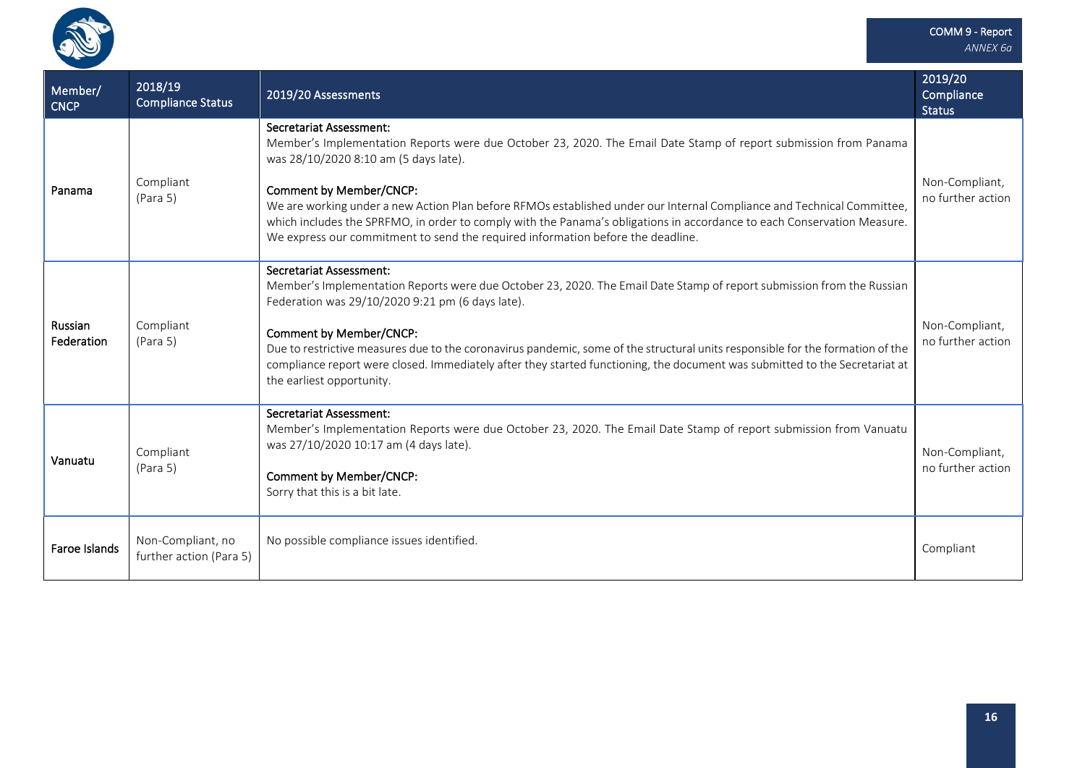

| Member/<br>CNCP              | 2018/19<br><b>Compliance Status</b>          | 2019/20 Assessments                                                                                                                                                                                                                                                                                                                                                                                                                                                                                                                                     | 2019/20<br>Compliance<br><b>Status</b> |
|------------------------------|----------------------------------------------|---------------------------------------------------------------------------------------------------------------------------------------------------------------------------------------------------------------------------------------------------------------------------------------------------------------------------------------------------------------------------------------------------------------------------------------------------------------------------------------------------------------------------------------------------------|----------------------------------------|
| Panama                       | Compliant<br>(Para 5)                        | Secretariat Assessment:<br>Member's Implementation Reports were due October 23, 2020. The Email Date Stamp of report submission from Panama<br>was 28/10/2020 8:10 am (5 days late).<br>Comment by Member/CNCP:<br>We are working under a new Action Plan before RFMOs established under our Internal Compliance and Technical Committee,<br>which includes the SPRFMO, in order to comply with the Panama's obligations in accordance to each Conservation Measure.<br>We express our commitment to send the required information before the deadline. | Non-Compliant,<br>no further action    |
| <b>Russian</b><br>Federation | Compliant<br>(Para 5)                        | <b>Secretariat Assessment:</b><br>Member's Implementation Reports were due October 23, 2020. The Email Date Stamp of report submission from the Russian<br>Federation was 29/10/2020 9:21 pm (6 days late).<br>Comment by Member/CNCP:<br>Due to restrictive measures due to the coronavirus pandemic, some of the structural units responsible for the formation of the<br>compliance report were closed. Immediately after they started functioning, the document was submitted to the Secretariat at<br>the earliest opportunity.                    | Non-Compliant,<br>no further action    |
| Vanuatu                      | Compliant<br>(Para 5)                        | Secretariat Assessment:<br>Member's Implementation Reports were due October 23, 2020. The Email Date Stamp of report submission from Vanuatu<br>was 27/10/2020 10:17 am (4 days late).<br>Comment by Member/CNCP:<br>Sorry that this is a bit late.                                                                                                                                                                                                                                                                                                     | Non-Compliant,<br>no further action    |
| Faroe Islands                | Non-Compliant, no<br>further action (Para 5) | No possible compliance issues identified.                                                                                                                                                                                                                                                                                                                                                                                                                                                                                                               | Compliant                              |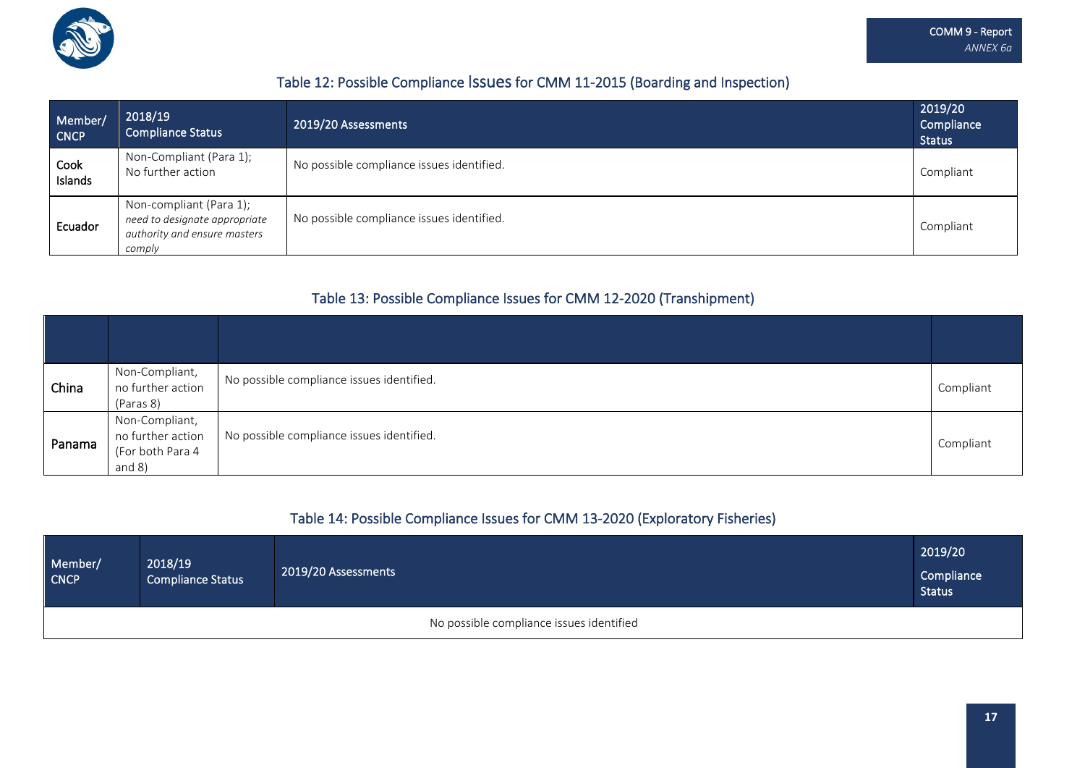

### Table 12: Possible Compliance Issues for CMM 11-2015 (Boarding and Inspection)

| Member/<br><b>CNCP</b> | 2018/19<br>Compliance Status                                                                       | 2019/20 Assessments                       | 2019/20<br>Compliance<br><b>Status</b> |
|------------------------|----------------------------------------------------------------------------------------------------|-------------------------------------------|----------------------------------------|
| Cook<br>Islands        | Non-Compliant (Para 1);<br>No further action                                                       | No possible compliance issues identified. | Compliant                              |
| Ecuador                | Non-compliant (Para 1);<br>need to designate appropriate<br>authority and ensure masters<br>comply | No possible compliance issues identified. | Compliant                              |

## Table 13: Possible Compliance Issues for CMM 12-2020 (Transhipment)

| China  | Non-Compliant,<br>no further action<br>(Paras 8)                    | No possible compliance issues identified. | Compliant |
|--------|---------------------------------------------------------------------|-------------------------------------------|-----------|
| Panama | Non-Compliant,<br>no further action<br>(For both Para 4<br>and $8)$ | No possible compliance issues identified. | Compliant |

### Table 14: Possible Compliance Issues for CMM 13-2020 (Exploratory Fisheries)

| Member/<br><b>CNCP</b>                   | 2018/19<br><b>Compliance Status</b> | 2019/20 Assessments | 2019/20<br>Compliance<br><b>Status</b> |  |  |
|------------------------------------------|-------------------------------------|---------------------|----------------------------------------|--|--|
| No possible compliance issues identified |                                     |                     |                                        |  |  |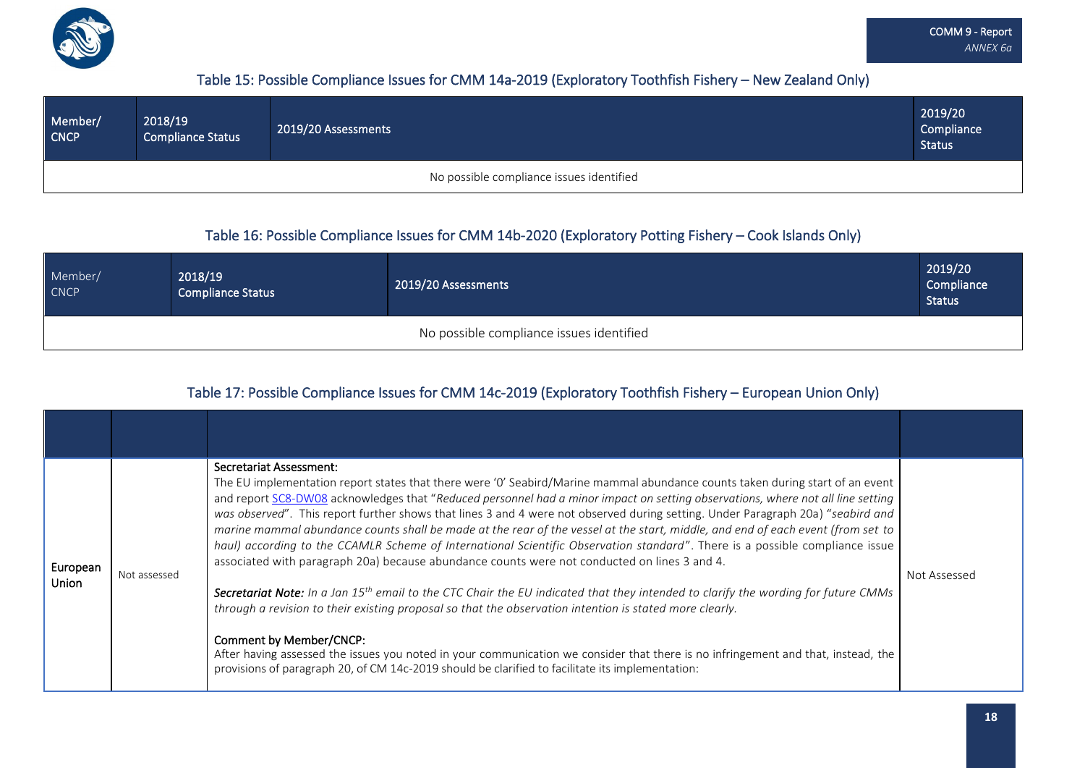

### Table 15: Possible Compliance Issues for CMM 14a-2019 (Exploratory Toothfish Fishery – New ZealandOnly)

| Member/<br><b>CNCP</b>                   | 2018/19<br><b>Compliance Status</b> | 2019/20 Assessments |  | 2019/20<br>Compliance<br><b>Status</b> |  |
|------------------------------------------|-------------------------------------|---------------------|--|----------------------------------------|--|
| No possible compliance issues identified |                                     |                     |  |                                        |  |

### Table 16: Possible Compliance Issues for CMM 14b-2020 (Exploratory Potting Fishery – Cook Islands Only)

| Member/<br><b>CNCP</b>                   | 2018/19<br><b>Compliance Status</b> | 2019/20 Assessments | 2019/20<br>Compliance<br><b>Status</b> |  |  |
|------------------------------------------|-------------------------------------|---------------------|----------------------------------------|--|--|
| No possible compliance issues identified |                                     |                     |                                        |  |  |

### Table 17: Possible Compliance Issues for CMM 14c-2019 (Exploratory Toothfish Fishery – European Union Only)

| European<br><b>Union</b> | Not assessed | Secretariat Assessment:<br>The EU implementation report states that there were '0' Seabird/Marine mammal abundance counts taken during start of an event<br>and report SC8-DW08 acknowledges that "Reduced personnel had a minor impact on setting observations, where not all line setting<br>was observed". This report further shows that lines 3 and 4 were not observed during setting. Under Paragraph 20a) "seabird and<br>marine mammal abundance counts shall be made at the rear of the vessel at the start, middle, and end of each event (from set to<br>haul) according to the CCAMLR Scheme of International Scientific Observation standard". There is a possible compliance issue<br>associated with paragraph 20a) because abundance counts were not conducted on lines 3 and 4.<br>Secretariat Note: In a Jan 15 <sup>th</sup> email to the CTC Chair the EU indicated that they intended to clarify the wording for future CMMs<br>through a revision to their existing proposal so that the observation intention is stated more clearly.<br>Comment by Member/CNCP:<br>After having assessed the issues you noted in your communication we consider that there is no infringement and that, instead, the<br>provisions of paragraph 20, of CM 14c-2019 should be clarified to facilitate its implementation: | Not Assessed |
|--------------------------|--------------|-----------------------------------------------------------------------------------------------------------------------------------------------------------------------------------------------------------------------------------------------------------------------------------------------------------------------------------------------------------------------------------------------------------------------------------------------------------------------------------------------------------------------------------------------------------------------------------------------------------------------------------------------------------------------------------------------------------------------------------------------------------------------------------------------------------------------------------------------------------------------------------------------------------------------------------------------------------------------------------------------------------------------------------------------------------------------------------------------------------------------------------------------------------------------------------------------------------------------------------------------------------------------------------------------------------------------------------|--------------|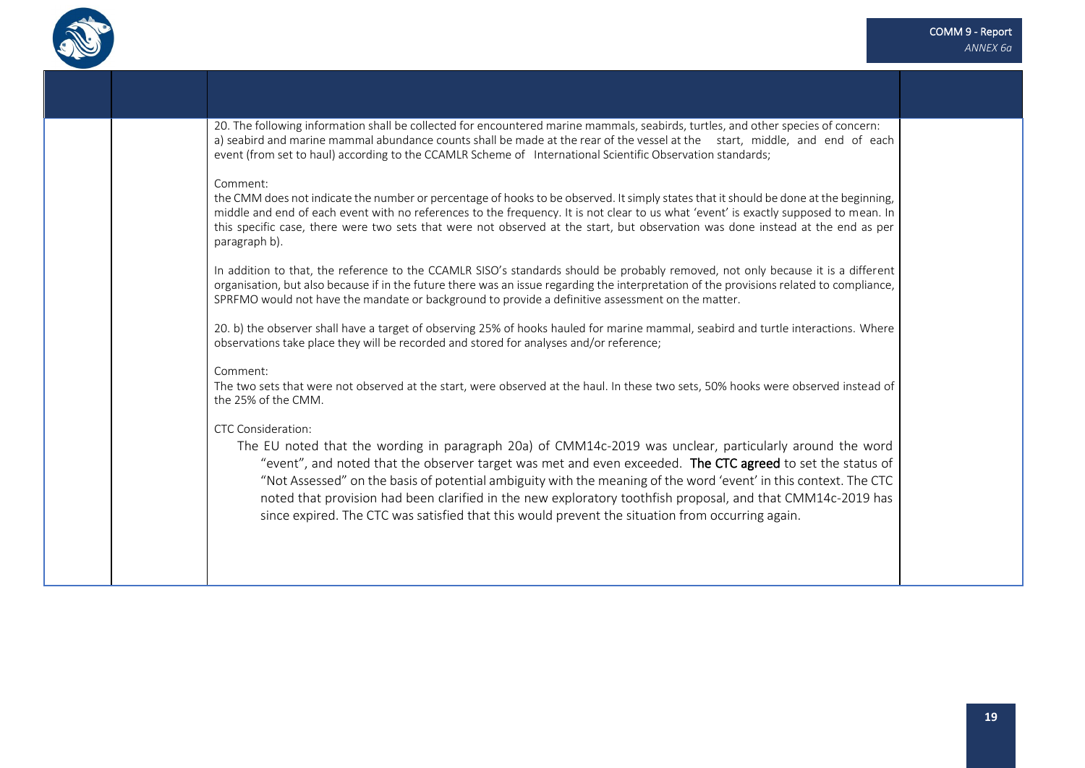

20. The following information shall be collected for encountered marine mammals, seabirds, turtles, and other species of concern: a) seabird and marine mammal abundance counts shall be made at the rear of the vessel at the start, middle, and end of each event (from set to haul) according to the CCAMLR Scheme of International Scientific Observation standards;

#### Comment:

the CMM does not indicate the number or percentage of hooks to be observed. It simply states that it should be done at the beginning, middle and end of each event with no references to the frequency. It is not clear to us what 'event' is exactly supposed to mean. In this specific case, there were two sets that were not observed at the start, but observation was done instead at the end as per paragraph b).

In addition to that, the reference to the CCAMLR SISO's standards should be probably removed, not only because it is a different organisation, but also because if in the future there was an issue regarding the interpretation of the provisions related to compliance, SPRFMO would not have the mandate or background to provide a definitive assessment on the matter.

20. b) the observer shall have a target of observing 25% of hooks hauled for marine mammal, seabird and turtle interactions. Where observations take place they will be recorded and stored for analyses and/or reference;

#### Comment:

L

The two sets that were not observed at the start, were observed at the haul. In these two sets, 50% hooks were observed instead of the 25% of the CMM.

#### CTC Consideration:

The EU noted that the wording in paragraph 20a) of CMM14c-2019 was unclear, particularly around the word "event", and noted that the observer target was met and even exceeded. The CTC agreed to set the status of "Not Assessed" on the basis of potential ambiguity with the meaning of the word 'event' in this context. The CTC noted that provision had been clarified in the new exploratory toothfish proposal, and that CMM14c-2019 has since expired. The CTC was satisfied that this would prevent the situation from occurring again.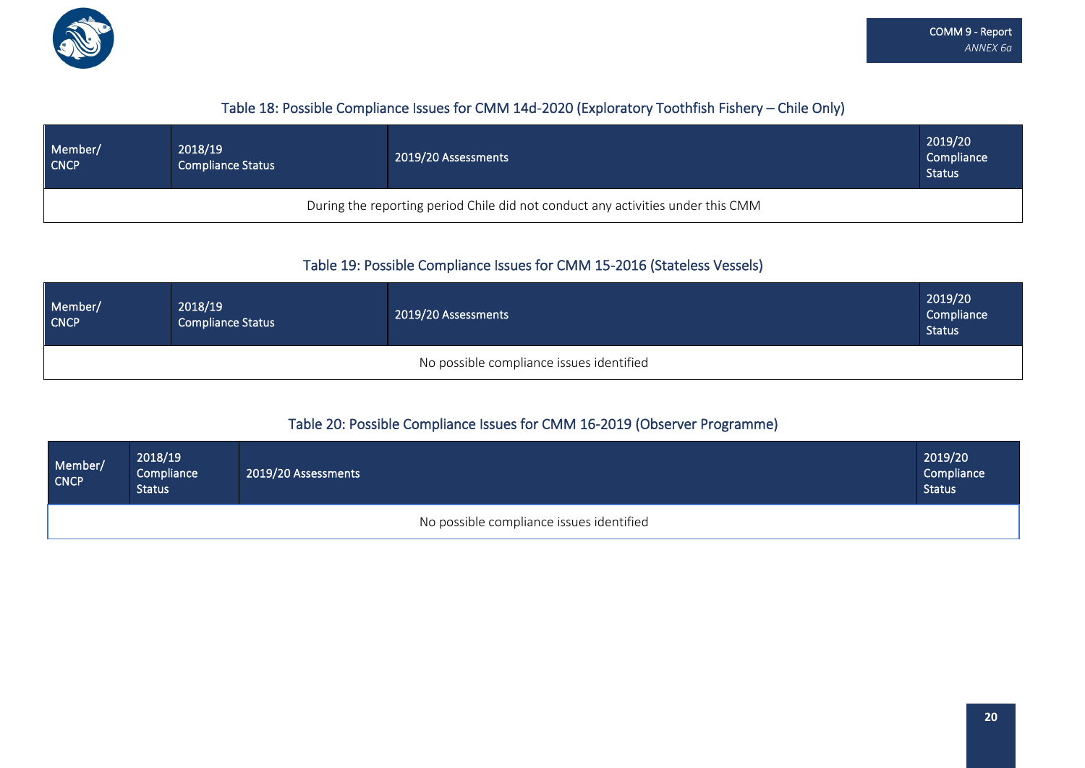

### Table 18: Possible Compliance Issues for CMM 14d-2020 (Exploratory Toothfish Fishery – Chile Only)

| Member/<br><b>CNCP</b>                                                          | 2018/19<br><b>Compliance Status</b> | 2019/20 Assessments | 2019/20<br>Compliance<br><b>Status</b> |  |  |  |  |  |  |  |
|---------------------------------------------------------------------------------|-------------------------------------|---------------------|----------------------------------------|--|--|--|--|--|--|--|
| During the reporting period Chile did not conduct any activities under this CMM |                                     |                     |                                        |  |  |  |  |  |  |  |

### Table 19: Possible Compliance Issues for CMM 15-2016 (Stateless Vessels)

| Member/<br><b>CNCP</b>                   | 2018/19<br><b>Compliance Status</b> | 2019/20 Assessments | 2019/20<br>Compliance<br><b>Status</b> |  |  |  |  |  |  |
|------------------------------------------|-------------------------------------|---------------------|----------------------------------------|--|--|--|--|--|--|
| No possible compliance issues identified |                                     |                     |                                        |  |  |  |  |  |  |

### Table 20: Possible Compliance Issues for CMM 16-2019 (Observer Programme)

| Member/<br><b>CNCP</b>                   | 2018/19<br>Compliance<br><b>Status</b> | 2019/20 Assessments | 2019/20<br>Compliance<br><b>Status</b> |  |  |  |  |  |  |
|------------------------------------------|----------------------------------------|---------------------|----------------------------------------|--|--|--|--|--|--|
| No possible compliance issues identified |                                        |                     |                                        |  |  |  |  |  |  |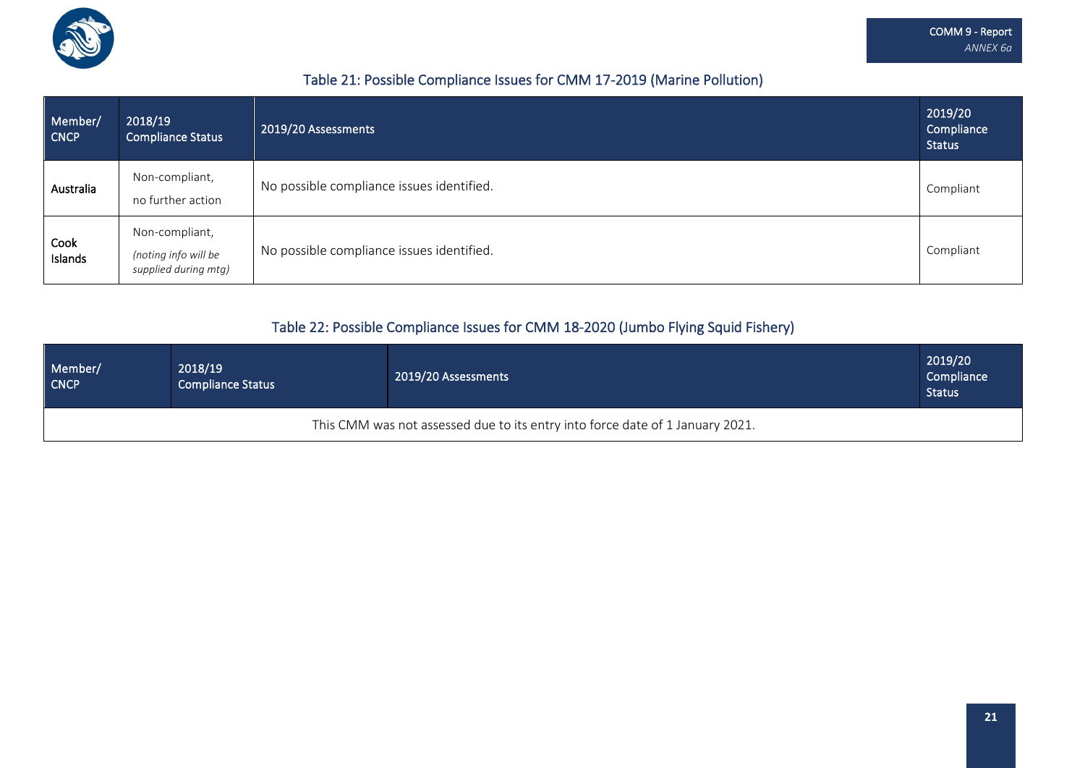

# Table 21: Possible Compliance Issues for CMM 17-2019 (Marine Pollution)

| Member/<br><b>CNCP</b> | 2018/19<br>Compliance Status                                   | 2019/20 Assessments                       | 2019/20<br>Compliance<br><b>Status</b> |
|------------------------|----------------------------------------------------------------|-------------------------------------------|----------------------------------------|
| Australia              | Non-compliant,<br>no further action                            | No possible compliance issues identified. | Compliant                              |
| Cook<br>Islands        | Non-compliant,<br>(noting info will be<br>supplied during mtg) | No possible compliance issues identified. | Compliant                              |

# Table 22: Possible Compliance Issues for CMM 18-2020 (Jumbo Flying Squid Fishery)

| Member/<br><b>CNCP</b>                                                        | 2018/19<br><b>Compliance Status</b> | 2019/20 Assessments | 2019/20<br>Compliance<br><b>Status</b> |  |  |  |  |  |  |  |
|-------------------------------------------------------------------------------|-------------------------------------|---------------------|----------------------------------------|--|--|--|--|--|--|--|
| This CMM was not assessed due to its entry into force date of 1 January 2021. |                                     |                     |                                        |  |  |  |  |  |  |  |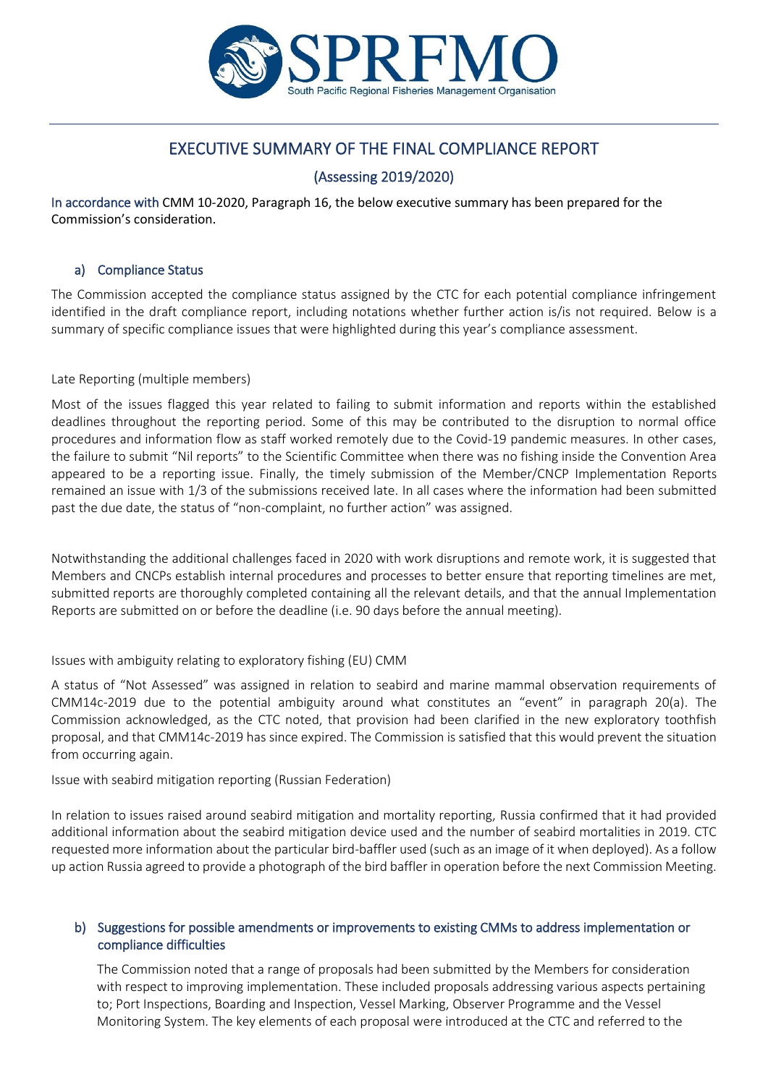

## EXECUTIVE SUMMARY OF THE FINAL COMPLIANCE REPORT

## (Assessing 2019/2020)

In accordance with CMM 10-2020, Paragraph 16, the below executive summary has been prepared for the Commission's consideration.

### a) Compliance Status

The Commission accepted the compliance status assigned by the CTC for each potential compliance infringement identified in the draft compliance report, including notations whether further action is/is not required. Below is a summary of specific compliance issues that were highlighted during this year's compliance assessment.

Late Reporting (multiple members)

Most of the issues flagged this year related to failing to submit information and reports within the established deadlines throughout the reporting period. Some of this may be contributed to the disruption to normal office procedures and information flow as staff worked remotely due to the Covid-19 pandemic measures. In other cases, the failure to submit "Nil reports" to the Scientific Committee when there was no fishing inside the Convention Area appeared to be a reporting issue. Finally, the timely submission of the Member/CNCP Implementation Reports remained an issue with 1/3 of the submissions received late. In all cases where the information had been submitted past the due date, the status of "non-complaint, no further action" was assigned.

Notwithstanding the additional challenges faced in 2020 with work disruptions and remote work, it is suggested that Members and CNCPs establish internal procedures and processes to better ensure that reporting timelines are met, submitted reports are thoroughly completed containing all the relevant details, and that the annual Implementation Reports are submitted on or before the deadline (i.e. 90 days before the annual meeting).

### Issues with ambiguity relating to exploratory fishing (EU) CMM

A status of "Not Assessed" was assigned in relation to seabird and marine mammal observation requirements of CMM14c-2019 due to the potential ambiguity around what constitutes an "event" in paragraph 20(a). The Commission acknowledged, as the CTC noted, that provision had been clarified in the new exploratory toothfish proposal, and that CMM14c-2019 has since expired. The Commission is satisfied that this would prevent the situation from occurring again.

Issue with seabird mitigation reporting (Russian Federation)

In relation to issues raised around seabird mitigation and mortality reporting, Russia confirmed that it had provided additional information about the seabird mitigation device used and the number of seabird mortalities in 2019. CTC requested more information about the particular bird-baffler used (such as an image of it when deployed). As a follow up action Russia agreed to provide a photograph of the bird baffler in operation before the next Commission Meeting.

### b) Suggestions for possible amendments or improvements to existing CMMs to address implementation or compliance difficulties

The Commission noted that a range of proposals had been submitted by the Members for consideration with respect to improving implementation. These included proposals addressing various aspects pertaining to; Port Inspections, Boarding and Inspection, Vessel Marking, Observer Programme and the Vessel Monitoring System. The key elements of each proposal were introduced at the CTC and referred to the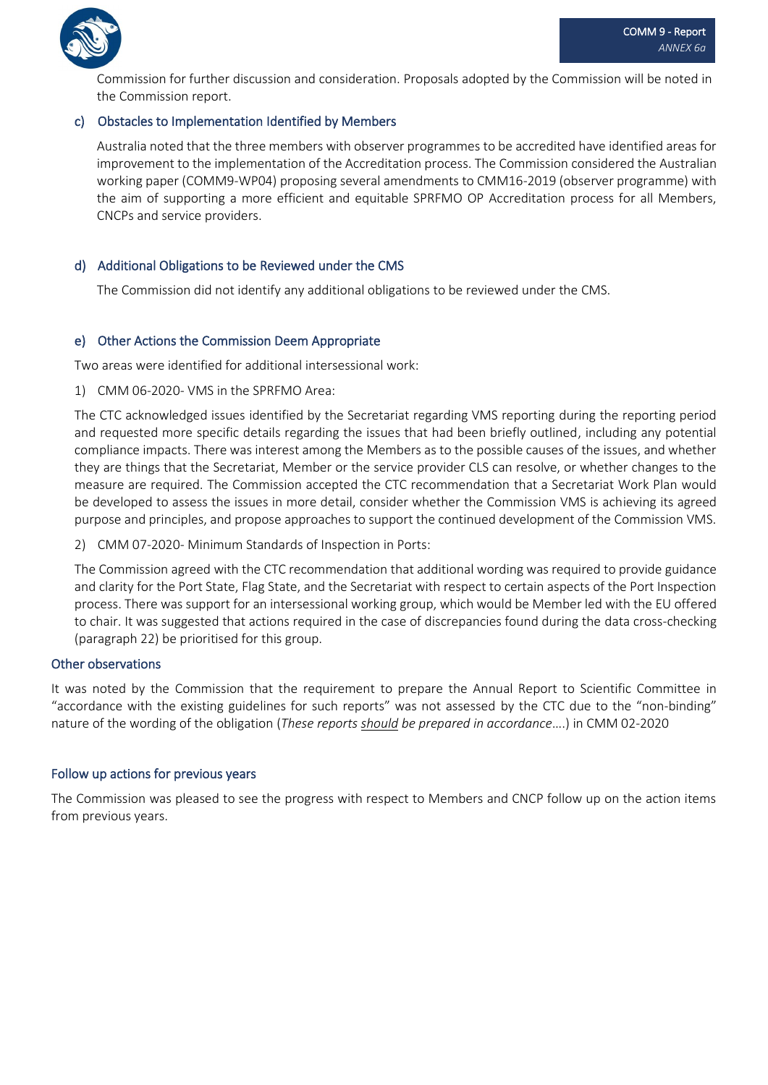

Commission for further discussion and consideration. Proposals adopted by the Commission will be noted in the Commission report.

### c) Obstacles to Implementation Identified by Members

Australia noted that the three members with observer programmes to be accredited have identified areas for improvement to the implementation of the Accreditation process. The Commission considered the Australian working paper (COMM9-WP04) proposing several amendments to CMM16-2019 (observer programme) with the aim of supporting a more efficient and equitable SPRFMO OP Accreditation process for all Members, CNCPs and service providers.

### d) Additional Obligations to be Reviewed under the CMS

The Commission did not identify any additional obligations to be reviewed under the CMS.

### e) Other Actions the Commission Deem Appropriate

Two areas were identified for additional intersessional work:

1) CMM 06-2020- VMS in the SPRFMO Area:

The CTC acknowledged issues identified by the Secretariat regarding VMS reporting during the reporting period and requested more specific details regarding the issues that had been briefly outlined, including any potential compliance impacts. There was interest among the Members as to the possible causes of the issues, and whether they are things that the Secretariat, Member or the service provider CLS can resolve, or whether changes to the measure are required. The Commission accepted the CTC recommendation that a Secretariat Work Plan would be developed to assess the issues in more detail, consider whether the Commission VMS is achieving its agreed purpose and principles, and propose approaches to support the continued development of the Commission VMS.

2) CMM 07-2020- Minimum Standards of Inspection in Ports:

The Commission agreed with the CTC recommendation that additional wording was required to provide guidance and clarity for the Port State, Flag State, and the Secretariat with respect to certain aspects of the Port Inspection process. There was support for an intersessional working group, which would be Member led with the EU offered to chair. It was suggested that actions required in the case of discrepancies found during the data cross-checking (paragraph 22) be prioritised for this group.

### Other observations

It was noted by the Commission that the requirement to prepare the Annual Report to Scientific Committee in "accordance with the existing guidelines for such reports" was not assessed by the CTC due to the "non-binding" nature of the wording of the obligation (*These reports should be prepared in accordance*….) in CMM 02-2020

### Follow up actions for previous years

The Commission was pleased to see the progress with respect to Members and CNCP follow up on the action items from previous years.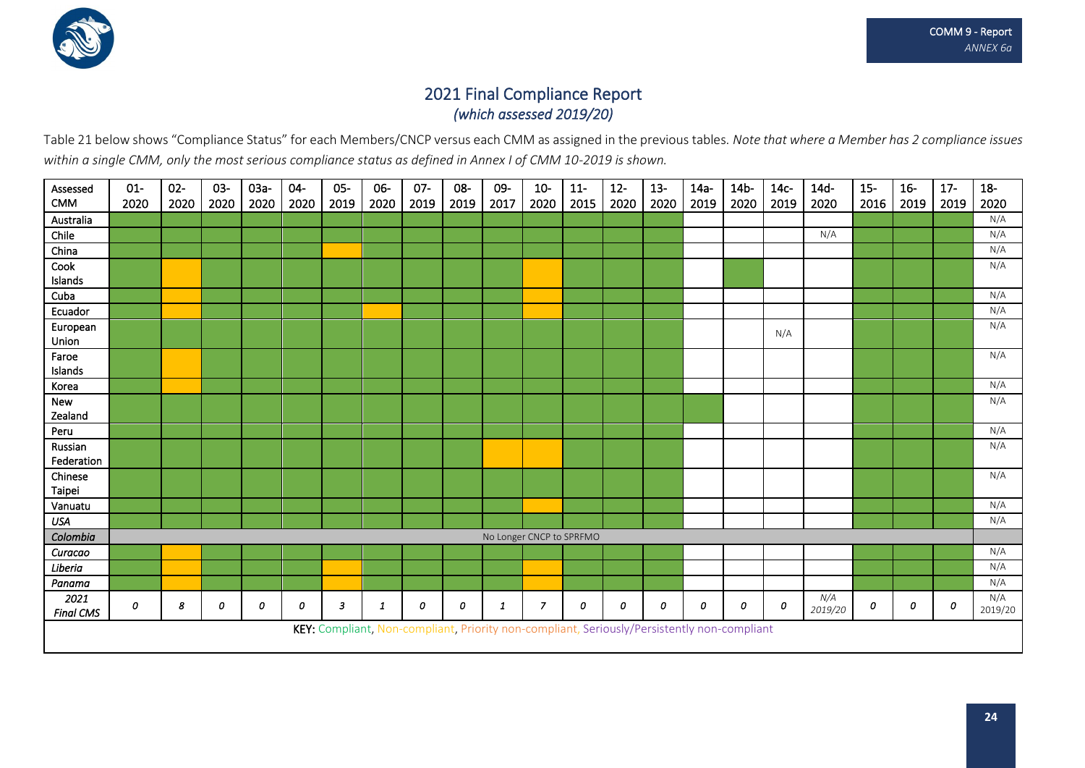

### 2021 Final Compliance Report *(which assessed 2019/20)*

Table 21 below shows "Compliance Status" for each Members/CNCP versus each CMM as assigned in the previous tables. *Note that where a Member has 2 compliance issues within a single CMM, only the most serious compliance status as defined in Annex I of CMM 10-2019 is shown.*

| Assessed<br><b>CMM</b>   | $01-$<br>2020 | $02 -$<br>2020 | 03-<br>2020 | 03a-<br>2020 | $04-$<br>2020 | $05 -$<br>2019 | 06-<br>2020                                                                                 | $07 -$<br>2019 | 08-<br>2019 | 09-<br>2017              | $10-$<br>2020  | $11-$<br>2015 | $12-$<br>2020 | $13 -$<br>2020 | $14a -$<br>2019 | 14 <sub>b</sub><br>2020 | $14c -$<br>2019 | 14d-<br>2020   | $15 -$<br>2016 | $16-$<br>2019 | $17 -$<br>2019 | $18-$<br>2020  |
|--------------------------|---------------|----------------|-------------|--------------|---------------|----------------|---------------------------------------------------------------------------------------------|----------------|-------------|--------------------------|----------------|---------------|---------------|----------------|-----------------|-------------------------|-----------------|----------------|----------------|---------------|----------------|----------------|
| Australia                |               |                |             |              |               |                |                                                                                             |                |             |                          |                |               |               |                |                 |                         |                 |                |                |               |                | N/A            |
| Chile                    |               |                |             |              |               |                |                                                                                             |                |             |                          |                |               |               |                |                 |                         |                 | N/A            |                |               |                | N/A            |
| China                    |               |                |             |              |               |                |                                                                                             |                |             |                          |                |               |               |                |                 |                         |                 |                |                |               |                | N/A            |
| Cook                     |               |                |             |              |               |                |                                                                                             |                |             |                          |                |               |               |                |                 |                         |                 |                |                |               |                | N/A            |
| Islands                  |               |                |             |              |               |                |                                                                                             |                |             |                          |                |               |               |                |                 |                         |                 |                |                |               |                |                |
| Cuba                     |               |                |             |              |               |                |                                                                                             |                |             |                          |                |               |               |                |                 |                         |                 |                |                |               |                | N/A            |
| Ecuador                  |               |                |             |              |               |                |                                                                                             |                |             |                          |                |               |               |                |                 |                         |                 |                |                |               |                | N/A            |
| European                 |               |                |             |              |               |                |                                                                                             |                |             |                          |                |               |               |                |                 |                         | N/A             |                |                |               |                | N/A            |
| Union                    |               |                |             |              |               |                |                                                                                             |                |             |                          |                |               |               |                |                 |                         |                 |                |                |               |                |                |
| Faroe                    |               |                |             |              |               |                |                                                                                             |                |             |                          |                |               |               |                |                 |                         |                 |                |                |               |                | N/A            |
| Islands                  |               |                |             |              |               |                |                                                                                             |                |             |                          |                |               |               |                |                 |                         |                 |                |                |               |                |                |
| Korea                    |               |                |             |              |               |                |                                                                                             |                |             |                          |                |               |               |                |                 |                         |                 |                |                |               |                | N/A            |
| New                      |               |                |             |              |               |                |                                                                                             |                |             |                          |                |               |               |                |                 |                         |                 |                |                |               |                | N/A            |
| Zealand                  |               |                |             |              |               |                |                                                                                             |                |             |                          |                |               |               |                |                 |                         |                 |                |                |               |                |                |
| Peru                     |               |                |             |              |               |                |                                                                                             |                |             |                          |                |               |               |                |                 |                         |                 |                |                |               |                | N/A            |
| Russian                  |               |                |             |              |               |                |                                                                                             |                |             |                          |                |               |               |                |                 |                         |                 |                |                |               |                | N/A            |
| Federation               |               |                |             |              |               |                |                                                                                             |                |             |                          |                |               |               |                |                 |                         |                 |                |                |               |                |                |
| Chinese<br>Taipei        |               |                |             |              |               |                |                                                                                             |                |             |                          |                |               |               |                |                 |                         |                 |                |                |               |                | N/A            |
| Vanuatu                  |               |                |             |              |               |                |                                                                                             |                |             |                          |                |               |               |                |                 |                         |                 |                |                |               |                | N/A            |
| <b>USA</b>               |               |                |             |              |               |                |                                                                                             |                |             |                          |                |               |               |                |                 |                         |                 |                |                |               |                | N/A            |
| Colombia                 |               |                |             |              |               |                |                                                                                             |                |             | No Longer CNCP to SPRFMO |                |               |               |                |                 |                         |                 |                |                |               |                |                |
| Curacao                  |               |                |             |              |               |                |                                                                                             |                |             |                          |                |               |               |                |                 |                         |                 |                |                |               |                | N/A            |
| Liberia                  |               |                |             |              |               |                |                                                                                             |                |             |                          |                |               |               |                |                 |                         |                 |                |                |               |                | N/A            |
| Panama                   |               |                |             |              |               |                |                                                                                             |                |             |                          |                |               |               |                |                 |                         |                 |                |                |               |                | N/A            |
| 2021<br><b>Final CMS</b> | 0             | 8              | 0           | 0            | 0             | 3              | 1                                                                                           | 0              | 0           | 1                        | $\overline{7}$ | 0             | 0             | 0              | 0               | 0                       | 0               | N/A<br>2019/20 | 0              | 0             | 0              | N/A<br>2019/20 |
|                          |               |                |             |              |               |                | KEY: Compliant, Non-compliant, Priority non-compliant, Seriously/Persistently non-compliant |                |             |                          |                |               |               |                |                 |                         |                 |                |                |               |                |                |